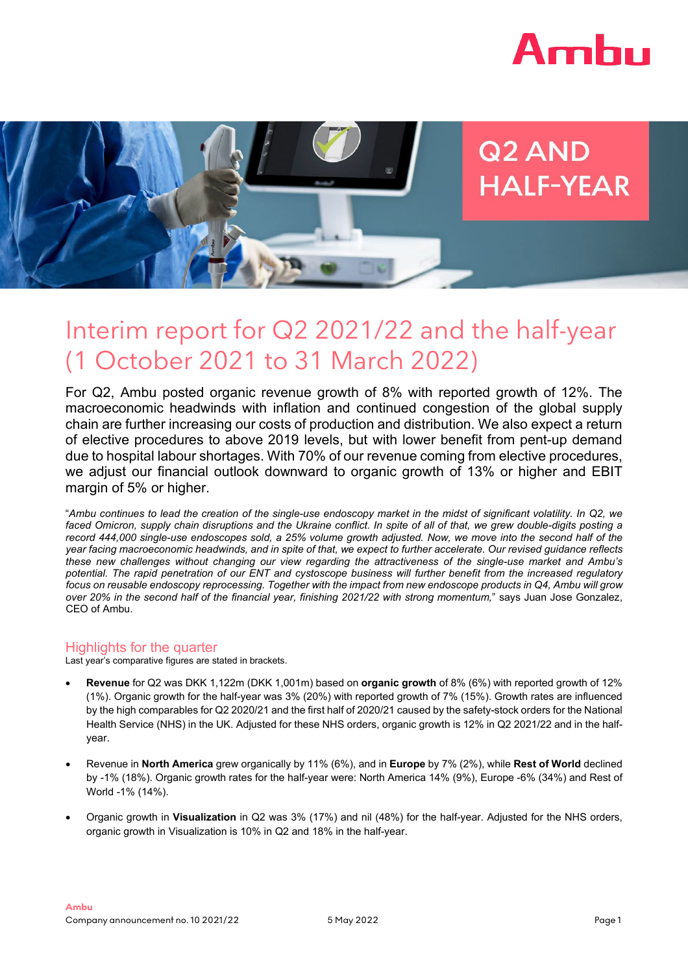



# Q<sub>2</sub> AND **HALF-YEAR**

# Interim report for Q2 2021/22 and the half-year (1 October 2021 to 31 March 2022)

For Q2, Ambu posted organic revenue growth of 8% with reported growth of 12%. The macroeconomic headwinds with inflation and continued congestion of the global supply chain are further increasing our costs of production and distribution. We also expect a return of elective procedures to above 2019 levels, but with lower benefit from pent-up demand due to hospital labour shortages. With 70% of our revenue coming from elective procedures, we adjust our financial outlook downward to organic growth of 13% or higher and EBIT margin of 5% or higher.

"Ambu continues to lead the creation of the single-use endoscopy market in the midst of significant volatility. In Q2, we faced Omicron, supply chain disruptions and the Ukraine conflict. In spite of all of that, we grew double-digits posting a record 444,000 single-use endoscopes sold, a 25% volume growth adjusted. Now, we move into the second half of the year facing macroeconomic headwinds, and in spite of that, we expect to further accelerate. Our revised guidance reflects *these new challenges without changing our view regarding the attractiveness of the single-use market and Ambu's* potential. The rapid penetration of our ENT and cystoscope business will further benefit from the increased regulatory focus on reusable endoscopy reprocessing. Together with the impact from new endoscope products in Q4, Ambu will grow *over 20% in the second half of the financial year, finishing 2021/22 with strong momentum,*" says Juan Jose Gonzalez, CEO of Ambu.

# Highlights for the quarter

Last year's comparative figures are stated in brackets.

- **Revenue** for Q2 was DKK 1,122m (DKK 1,001m) based on **organic growth** of 8% (6%) with reported growth of 12% (1%). Organic growth for the half-year was 3% (20%) with reported growth of 7% (15%). Growth rates are influenced by the high comparables for Q2 2020/21 and the first half of 2020/21 caused by the safety-stock orders for the National Health Service (NHS) in the UK. Adjusted for these NHS orders, organic growth is 12% in Q2 2021/22 and in the halfyear.
- Revenue in **North America** grew organically by 11% (6%), and in **Europe** by 7% (2%), while **Rest of World** declined by -1% (18%). Organic growth rates for the half-year were: North America 14% (9%), Europe -6% (34%) and Rest of World -1% (14%).
- Organic growth in **Visualization** in Q2 was 3% (17%) and nil (48%) for the half-year. Adjusted for the NHS orders, organic growth in Visualization is 10% in Q2 and 18% in the half-year.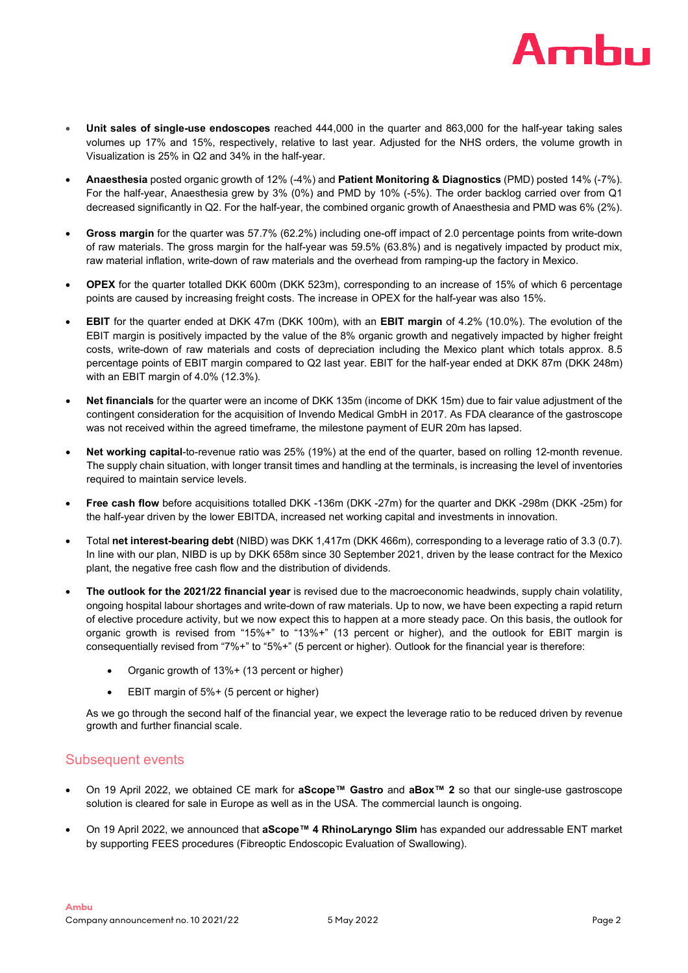

- **Unit sales of single-use endoscopes** reached 444,000 in the quarter and 863,000 for the half-year taking sales volumes up 17% and 15%, respectively, relative to last year. Adjusted for the NHS orders, the volume growth in Visualization is 25% in Q2 and 34% in the half-year.
- **Anaesthesia** posted organic growth of 12% (-4%) and **Patient Monitoring & Diagnostics** (PMD) posted 14% (-7%). For the half-year, Anaesthesia grew by 3% (0%) and PMD by 10% (-5%). The order backlog carried over from Q1 decreased significantly in Q2. For the half-year, the combined organic growth of Anaesthesia and PMD was 6% (2%).
- **Gross margin** for the quarter was 57.7% (62.2%) including one-off impact of 2.0 percentage points from write-down of raw materials. The gross margin for the half-year was 59.5% (63.8%) and is negatively impacted by product mix, raw material inflation, write-down of raw materials and the overhead from ramping-up the factory in Mexico.
- **OPEX** for the quarter totalled DKK 600m (DKK 523m), corresponding to an increase of 15% of which 6 percentage points are caused by increasing freight costs. The increase in OPEX for the half-year was also 15%.
- **EBIT** for the quarter ended at DKK 47m (DKK 100m), with an **EBIT margin** of 4.2% (10.0%). The evolution of the EBIT margin is positively impacted by the value of the 8% organic growth and negatively impacted by higher freight costs, write-down of raw materials and costs of depreciation including the Mexico plant which totals approx. 8.5 percentage points of EBIT margin compared to Q2 last year. EBIT for the half-year ended at DKK 87m (DKK 248m) with an EBIT margin of 4.0% (12.3%).
- **Net financials** for the quarter were an income of DKK 135m (income of DKK 15m) due to fair value adjustment of the contingent consideration for the acquisition of Invendo Medical GmbH in 2017. As FDA clearance of the gastroscope was not received within the agreed timeframe, the milestone payment of EUR 20m has lapsed.
- **Net working capital**-to-revenue ratio was 25% (19%) at the end of the quarter, based on rolling 12-month revenue. The supply chain situation, with longer transit times and handling at the terminals, is increasing the level of inventories required to maintain service levels.
- **Free cash flow** before acquisitions totalled DKK -136m (DKK -27m) for the quarter and DKK -298m (DKK -25m) for the half-year driven by the lower EBITDA, increased net working capital and investments in innovation.
- Total **net interest-bearing debt** (NIBD) was DKK 1,417m (DKK 466m), corresponding to a leverage ratio of 3.3 (0.7). In line with our plan, NIBD is up by DKK 658m since 30 September 2021, driven by the lease contract for the Mexico plant, the negative free cash flow and the distribution of dividends.
- **The outlook for the 2021/22 financial year** is revised due to the macroeconomic headwinds, supply chain volatility, ongoing hospital labour shortages and write-down of raw materials. Up to now, we have been expecting a rapid return of elective procedure activity, but we now expect this to happen at a more steady pace. On this basis, the outlook for organic growth is revised from "15%+" to "13%+" (13 percent or higher), and the outlook for EBIT margin is consequentially revised from "7%+" to "5%+" (5 percent or higher). Outlook for the financial year is therefore:
	- Organic growth of 13%+ (13 percent or higher)
	- EBIT margin of 5%+ (5 percent or higher)

As we go through the second half of the financial year, we expect the leverage ratio to be reduced driven by revenue growth and further financial scale.

# Subsequent events

- On 19 April 2022, we obtained CE mark for **aScope™ Gastro** and **aBox™ 2** so that our single-use gastroscope solution is cleared for sale in Europe as well as in the USA. The commercial launch is ongoing.
- On 19 April 2022, we announced that **aScope™ 4 RhinoLaryngo Slim** has expanded our addressable ENT market by supporting FEES procedures (Fibreoptic Endoscopic Evaluation of Swallowing).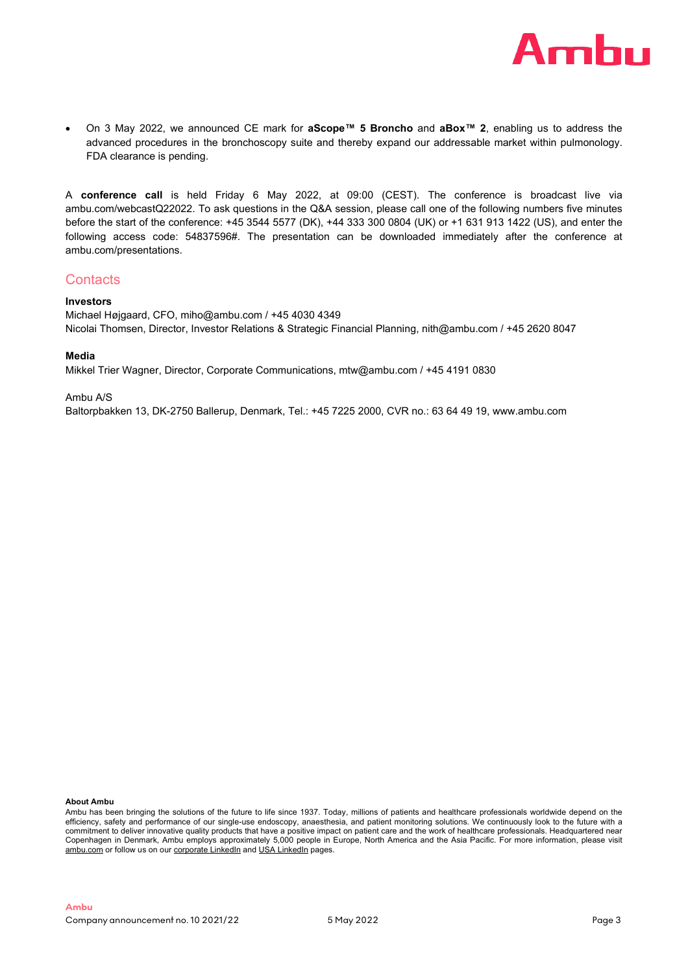

• On 3 May 2022, we announced CE mark for **aScope™ 5 Broncho** and **aBox™ 2**, enabling us to address the advanced procedures in the bronchoscopy suite and thereby expand our addressable market within pulmonology. FDA clearance is pending.

A **conference call** is held Friday 6 May 2022, at 09:00 (CEST). The conference is broadcast live via ambu.com/webcastQ22022. To ask questions in the Q&A session, please call one of the following numbers five minutes before the start of the conference: +45 3544 5577 (DK), +44 333 300 0804 (UK) or +1 631 913 1422 (US), and enter the following access code: 54837596#. The presentation can be downloaded immediately after the conference at ambu.com/presentations.

# **Contacts**

### **Investors**

Michael Højgaard, CFO, miho@ambu.com / +45 4030 4349 Nicolai Thomsen, Director, Investor Relations & Strategic Financial Planning, nith@ambu.com / +45 2620 8047

### **Media**

Mikkel Trier Wagner, Director, Corporate Communications, mtw@ambu.com / +45 4191 0830

Ambu A/S

Baltorpbakken 13, DK-2750 Ballerup, Denmark, Tel.: +45 7225 2000, CVR no.: 63 64 49 19, [www.ambu.com](http://www.ambu.com/)

**About Ambu**

Ambu has been bringing the solutions of the future to life since 1937. Today, millions of patients and healthcare professionals worldwide depend on the efficiency, safety and performance of our single-use endoscopy, anaesthesia, and patient monitoring solutions. We continuously look to the future with a commitment to deliver innovative quality products that have a positive impact on patient care and the work of healthcare professionals. Headquartered near Copenhagen in Denmark, Ambu employs approximately 5,000 people in Europe, North America and the Asia Pacific. For more information, please visit [ambu.com](https://www.ambu.com/) or follow us on our [corporate](https://www.linkedin.com/company/ambu-as/) [LinkedIn](https://www.linkedin.com/company/ambu-usa/) and USA LinkedIn pages.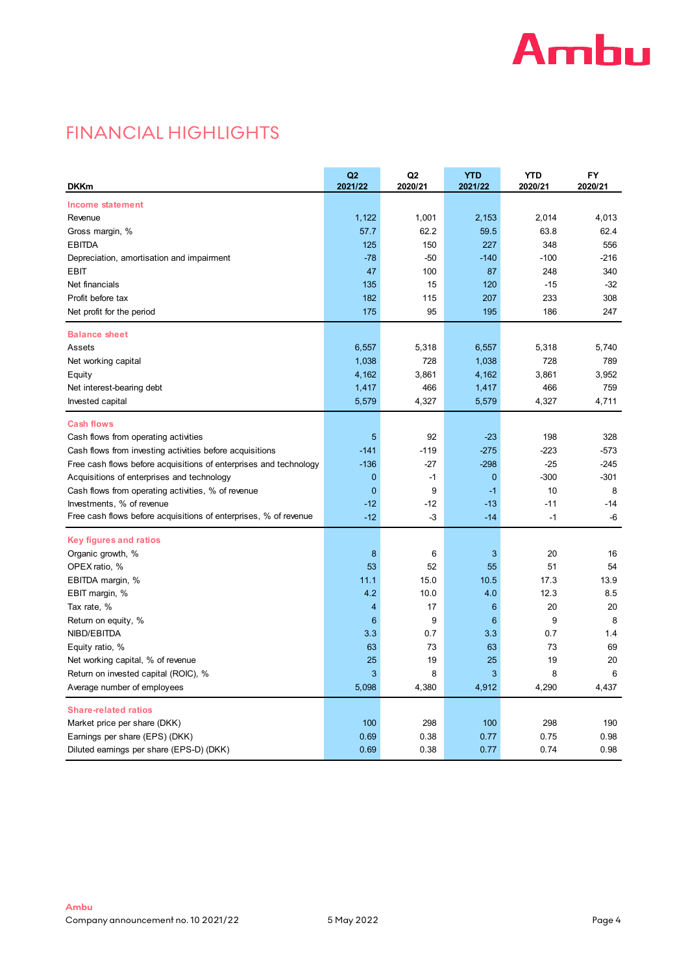

# FINANCIAL HIGHLIGHTS

| <b>DKKm</b>                                                       | Q2<br>2021/22  | Q <sub>2</sub><br>2020/21 | <b>YTD</b><br>2021/22 | <b>YTD</b><br>2020/21 | <b>FY</b><br>2020/21 |
|-------------------------------------------------------------------|----------------|---------------------------|-----------------------|-----------------------|----------------------|
| Income statement                                                  |                |                           |                       |                       |                      |
| Revenue                                                           | 1,122          | 1,001                     | 2,153                 | 2,014                 | 4,013                |
| Gross margin, %                                                   | 57.7           | 62.2                      | 59.5                  | 63.8                  | 62.4                 |
| <b>EBITDA</b>                                                     | 125            | 150                       | 227                   | 348                   | 556                  |
| Depreciation, amortisation and impairment                         | $-78$          | $-50$                     | $-140$                | $-100$                | -216                 |
| <b>EBIT</b>                                                       | 47             | 100                       | 87                    | 248                   | 340                  |
| Net financials                                                    | 135            | 15                        | 120                   | $-15$                 | $-32$                |
| Profit before tax                                                 | 182            | 115                       | 207                   | 233                   | 308                  |
| Net profit for the period                                         | 175            | 95                        | 195                   | 186                   | 247                  |
| <b>Balance sheet</b>                                              |                |                           |                       |                       |                      |
| Assets                                                            | 6,557          | 5,318                     | 6,557                 | 5,318                 | 5,740                |
| Net working capital                                               | 1,038          | 728                       | 1,038                 | 728                   | 789                  |
| Equity                                                            | 4,162          | 3,861                     | 4,162                 | 3,861                 | 3,952                |
| Net interest-bearing debt                                         | 1,417          | 466                       | 1,417                 | 466                   | 759                  |
| Invested capital                                                  | 5,579          | 4,327                     | 5,579                 | 4,327                 | 4,711                |
| <b>Cash flows</b>                                                 |                |                           |                       |                       |                      |
| Cash flows from operating activities                              | 5              | 92                        | $-23$                 | 198                   | 328                  |
| Cash flows from investing activities before acquisitions          | $-141$         | $-119$                    | $-275$                | $-223$                | $-573$               |
| Free cash flows before acquisitions of enterprises and technology | $-136$         | $-27$                     | $-298$                | $-25$                 | $-245$               |
| Acquisitions of enterprises and technology                        | $\mathbf{0}$   | $-1$                      | $\mathbf 0$           | $-300$                | $-301$               |
| Cash flows from operating activities, % of revenue                | $\mathbf{0}$   | 9                         | $-1$                  | 10                    | 8                    |
| Investments, % of revenue                                         | $-12$          | $-12$                     | $-13$                 | $-11$                 | $-14$                |
| Free cash flows before acquisitions of enterprises, % of revenue  | $-12$          | -3                        | $-14$                 | $-1$                  | -6                   |
| <b>Key figures and ratios</b>                                     |                |                           |                       |                       |                      |
| Organic growth, %                                                 | 8              | 6                         | 3                     | 20                    | 16                   |
| OPEX ratio, %                                                     | 53             | 52                        | 55                    | 51                    | 54                   |
| EBITDA margin, %                                                  | 11.1           | 15.0                      | 10.5                  | 17.3                  | 13.9                 |
| EBIT margin, %                                                    | 4.2            | 10.0                      | 4.0                   | 12.3                  | 8.5                  |
| Tax rate, %                                                       | $\overline{4}$ | 17                        | $6\phantom{1}6$       | 20                    | 20                   |
| Return on equity, %                                               | $6\phantom{1}$ | 9                         | 6                     | 9                     | 8                    |
| NIBD/EBITDA                                                       | 3.3            | 0.7                       | 3.3                   | 0.7                   | 1.4                  |
| Equity ratio, %                                                   | 63             | 73                        | 63                    | 73                    | 69                   |
| Net working capital, % of revenue                                 | 25             | 19                        | 25                    | 19                    | 20                   |
| Return on invested capital (ROIC), %                              | 3              | 8                         | 3                     | 8                     | 6                    |
| Average number of employees                                       | 5,098          | 4,380                     | 4,912                 | 4,290                 | 4,437                |
| <b>Share-related ratios</b>                                       |                |                           |                       |                       |                      |
| Market price per share (DKK)                                      | 100            | 298                       | 100                   | 298                   | 190                  |
| Earnings per share (EPS) (DKK)                                    | 0.69           | 0.38                      | 0.77                  | 0.75                  | 0.98                 |
| Diluted earnings per share (EPS-D) (DKK)                          | 0.69           | 0.38                      | 0.77                  | 0.74                  | 0.98                 |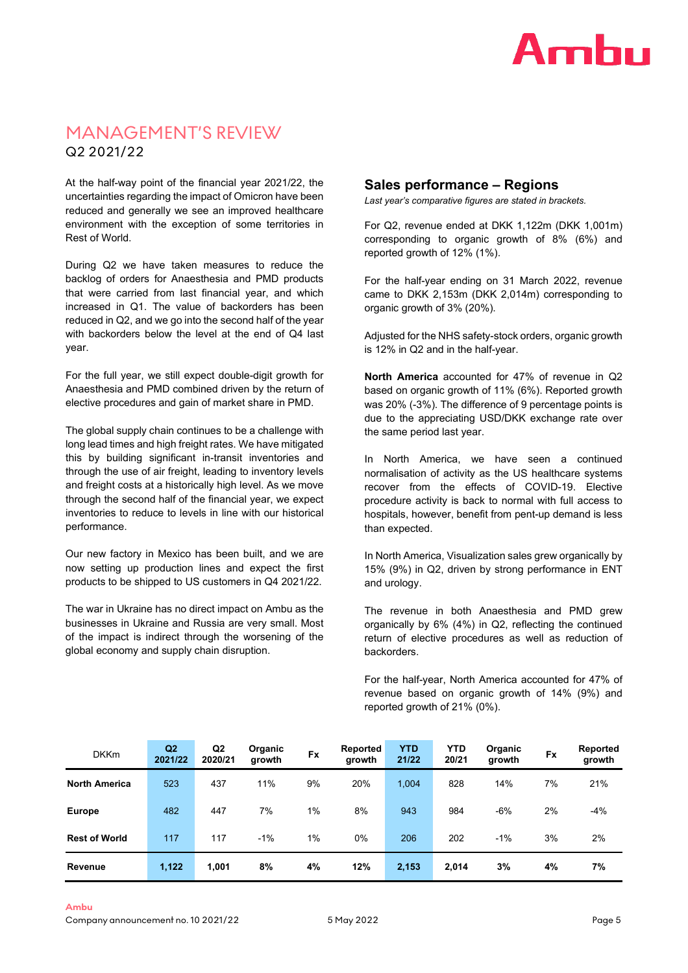

# MANAGEMENT'S REVIEW Q2 2021/22

At the half-way point of the financial year 2021/22, the uncertainties regarding the impact of Omicron have been reduced and generally we see an improved healthcare environment with the exception of some territories in Rest of World.

During Q2 we have taken measures to reduce the backlog of orders for Anaesthesia and PMD products that were carried from last financial year, and which increased in Q1. The value of backorders has been reduced in Q2, and we go into the second half of the year with backorders below the level at the end of Q4 last year.

For the full year, we still expect double-digit growth for Anaesthesia and PMD combined driven by the return of elective procedures and gain of market share in PMD.

The global supply chain continues to be a challenge with long lead times and high freight rates. We have mitigated this by building significant in-transit inventories and through the use of air freight, leading to inventory levels and freight costs at a historically high level. As we move through the second half of the financial year, we expect inventories to reduce to levels in line with our historical performance.

Our new factory in Mexico has been built, and we are now setting up production lines and expect the first products to be shipped to US customers in Q4 2021/22.

The war in Ukraine has no direct impact on Ambu as the businesses in Ukraine and Russia are very small. Most of the impact is indirect through the worsening of the global economy and supply chain disruption.

# **Sales performance – Regions**

*Last year's comparative figures are stated in brackets.*

For Q2, revenue ended at DKK 1,122m (DKK 1,001m) corresponding to organic growth of 8% (6%) and reported growth of 12% (1%).

For the half-year ending on 31 March 2022, revenue came to DKK 2,153m (DKK 2,014m) corresponding to organic growth of 3% (20%).

Adjusted for the NHS safety-stock orders, organic growth is 12% in Q2 and in the half-year.

**North America** accounted for 47% of revenue in Q2 based on organic growth of 11% (6%). Reported growth was 20% (-3%). The difference of 9 percentage points is due to the appreciating USD/DKK exchange rate over the same period last year.

In North America, we have seen a continued normalisation of activity as the US healthcare systems recover from the effects of COVID-19. Elective procedure activity is back to normal with full access to hospitals, however, benefit from pent-up demand is less than expected.

In North America, Visualization sales grew organically by 15% (9%) in Q2, driven by strong performance in ENT and urology.

The revenue in both Anaesthesia and PMD grew organically by 6% (4%) in Q2, reflecting the continued return of elective procedures as well as reduction of backorders.

For the half-year, North America accounted for 47% of revenue based on organic growth of 14% (9%) and reported growth of 21% (0%).

| <b>DKKm</b>          | Q <sub>2</sub><br>2021/22 | Q <sub>2</sub><br>2020/21 | Organic<br>growth | <b>Fx</b> | Reported<br>growth | <b>YTD</b><br>21/22 | <b>YTD</b><br>20/21 | Organic<br>growth | <b>Fx</b> | Reported<br>growth |
|----------------------|---------------------------|---------------------------|-------------------|-----------|--------------------|---------------------|---------------------|-------------------|-----------|--------------------|
| <b>North America</b> | 523                       | 437                       | 11%               | 9%        | 20%                | 1.004               | 828                 | 14%               | 7%        | 21%                |
| <b>Europe</b>        | 482                       | 447                       | 7%                | $1\%$     | 8%                 | 943                 | 984                 | $-6%$             | 2%        | $-4%$              |
| <b>Rest of World</b> | 117                       | 117                       | $-1%$             | $1\%$     | $0\%$              | 206                 | 202                 | $-1%$             | 3%        | 2%                 |
| Revenue              | 1,122                     | 1,001                     | 8%                | 4%        | 12%                | 2,153               | 2,014               | 3%                | 4%        | 7%                 |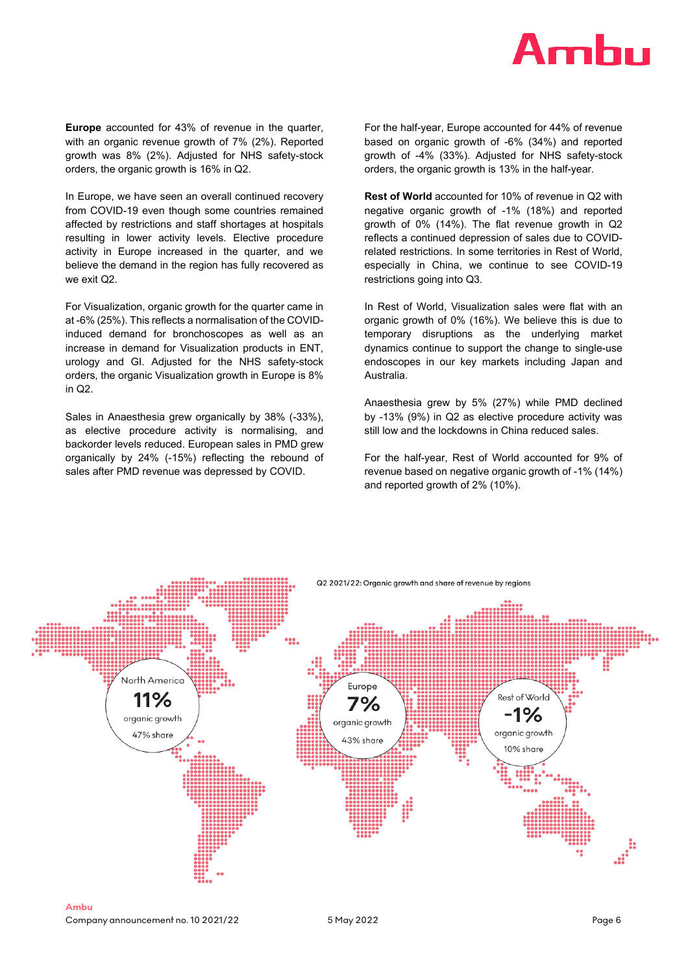

**Europe** accounted for 43% of revenue in the quarter, with an organic revenue growth of 7% (2%). Reported growth was 8% (2%). Adjusted for NHS safety-stock orders, the organic growth is 16% in Q2.

In Europe, we have seen an overall continued recovery from COVID-19 even though some countries remained affected by restrictions and staff shortages at hospitals resulting in lower activity levels. Elective procedure activity in Europe increased in the quarter, and we believe the demand in the region has fully recovered as we exit Q2.

For Visualization, organic growth for the quarter came in at -6% (25%). This reflects a normalisation of the COVIDinduced demand for bronchoscopes as well as an increase in demand for Visualization products in ENT, urology and GI. Adjusted for the NHS safety-stock orders, the organic Visualization growth in Europe is 8% in Q2.

Sales in Anaesthesia grew organically by 38% (-33%), as elective procedure activity is normalising, and backorder levels reduced. European sales in PMD grew organically by 24% (-15%) reflecting the rebound of sales after PMD revenue was depressed by COVID.

For the half-year, Europe accounted for 44% of revenue based on organic growth of -6% (34%) and reported growth of -4% (33%). Adjusted for NHS safety-stock orders, the organic growth is 13% in the half-year.

**Rest of World** accounted for 10% of revenue in Q2 with negative organic growth of -1% (18%) and reported growth of 0% (14%). The flat revenue growth in Q2 reflects a continued depression of sales due to COVIDrelated restrictions. In some territories in Rest of World, especially in China, we continue to see COVID-19 restrictions going into Q3.

In Rest of World, Visualization sales were flat with an organic growth of 0% (16%). We believe this is due to temporary disruptions as the underlying market dynamics continue to support the change to single-use endoscopes in our key markets including Japan and Australia.

Anaesthesia grew by 5% (27%) while PMD declined by -13% (9%) in Q2 as elective procedure activity was still low and the lockdowns in China reduced sales.

For the half-year, Rest of World accounted for 9% of revenue based on negative organic growth of -1% (14%) and reported growth of 2% (10%).

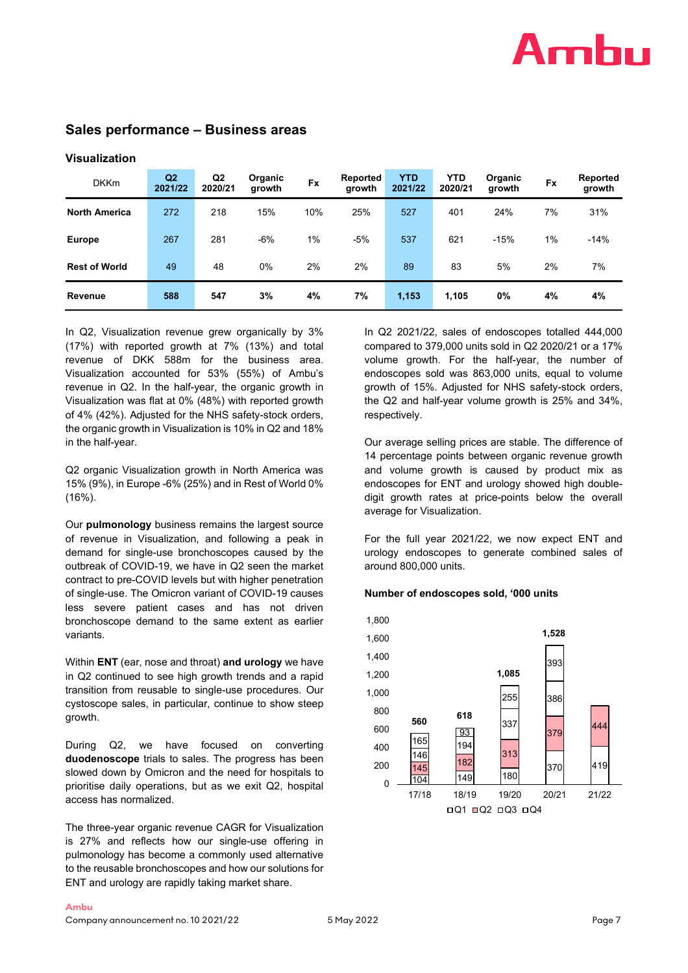# Amhu

# **Sales performance – Business areas**

| <b>DKKm</b>          | Q <sub>2</sub><br>2021/22 | Q <sub>2</sub><br>2020/21 | Organic<br>growth | <b>Fx</b> | Reported<br>growth | <b>YTD</b><br>2021/22 | <b>YTD</b><br>2020/21 | Organic<br>growth | <b>Fx</b> | Reported<br>growth |
|----------------------|---------------------------|---------------------------|-------------------|-----------|--------------------|-----------------------|-----------------------|-------------------|-----------|--------------------|
| <b>North America</b> | 272                       | 218                       | 15%               | 10%       | 25%                | 527                   | 401                   | 24%               | 7%        | 31%                |
| <b>Europe</b>        | 267                       | 281                       | $-6%$             | 1%        | $-5%$              | 537                   | 621                   | $-15%$            | 1%        | $-14%$             |
| <b>Rest of World</b> | 49                        | 48                        | 0%                | 2%        | 2%                 | 89                    | 83                    | 5%                | 2%        | 7%                 |
| Revenue              | 588                       | 547                       | 3%                | 4%        | 7%                 | 1,153                 | 1.105                 | 0%                | 4%        | 4%                 |

# **Visualization**

In Q2, Visualization revenue grew organically by 3% (17%) with reported growth at 7% (13%) and total revenue of DKK 588m for the business area. Visualization accounted for 53% (55%) of Ambu's revenue in Q2. In the half-year, the organic growth in Visualization was flat at 0% (48%) with reported growth of 4% (42%). Adjusted for the NHS safety-stock orders, the organic growth in Visualization is 10% in Q2 and 18% in the half-year.

Q2 organic Visualization growth in North America was 15% (9%), in Europe -6% (25%) and in Rest of World 0% (16%).

Our **pulmonology** business remains the largest source of revenue in Visualization, and following a peak in demand for single-use bronchoscopes caused by the outbreak of COVID-19, we have in Q2 seen the market contract to pre-COVID levels but with higher penetration of single-use. The Omicron variant of COVID-19 causes less severe patient cases and has not driven bronchoscope demand to the same extent as earlier variants.

Within **ENT** (ear, nose and throat) **and urology** we have in Q2 continued to see high growth trends and a rapid transition from reusable to single-use procedures. Our cystoscope sales, in particular, continue to show steep growth.

During Q2, we have focused on converting **duodenoscope** trials to sales. The progress has been slowed down by Omicron and the need for hospitals to prioritise daily operations, but as we exit Q2, hospital access has normalized.

The three-year organic revenue CAGR for Visualization is 27% and reflects how our single-use offering in pulmonology has become a commonly used alternative to the reusable bronchoscopes and how our solutions for ENT and urology are rapidly taking market share.

In Q2 2021/22, sales of endoscopes totalled 444,000 compared to 379,000 units sold in Q2 2020/21 or a 17% volume growth. For the half-year, the number of endoscopes sold was 863,000 units, equal to volume growth of 15%. Adjusted for NHS safety-stock orders, the Q2 and half-year volume growth is 25% and 34%, respectively.

Our average selling prices are stable. The difference of 14 percentage points between organic revenue growth and volume growth is caused by product mix as endoscopes for ENT and urology showed high doubledigit growth rates at price-points below the overall average for Visualization.

For the full year 2021/22, we now expect ENT and urology endoscopes to generate combined sales of around 800,000 units.

#### **Number of endoscopes sold, '000 units**

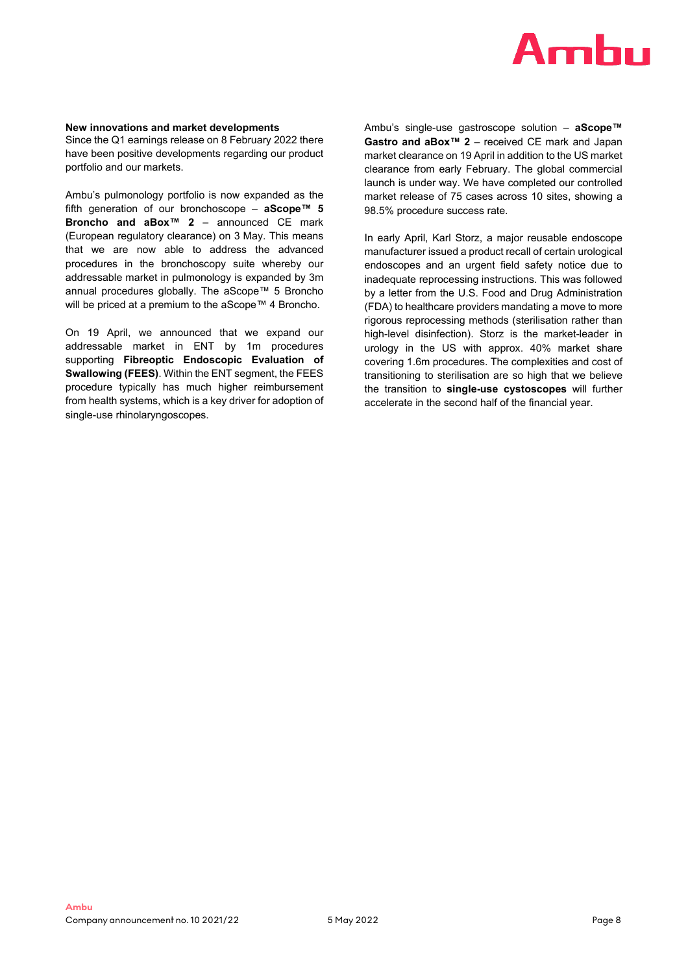

#### **New innovations and market developments**

Since the Q1 earnings release on 8 February 2022 there have been positive developments regarding our product portfolio and our markets.

Ambu's pulmonology portfolio is now expanded as the fifth generation of our bronchoscope – **aScope™ 5 Broncho and aBox™ 2** – announced CE mark (European regulatory clearance) on 3 May. This means that we are now able to address the advanced procedures in the bronchoscopy suite whereby our addressable market in pulmonology is expanded by 3m annual procedures globally. The aScope™ 5 Broncho will be priced at a premium to the aScope™ 4 Broncho.

On 19 April, we announced that we expand our addressable market in ENT by 1m procedures supporting **Fibreoptic Endoscopic Evaluation of Swallowing (FEES)**. Within the ENT segment, the FEES procedure typically has much higher reimbursement from health systems, which is a key driver for adoption of single-use rhinolaryngoscopes.

Ambu's single-use gastroscope solution – **aScope™ Gastro and aBox™ 2** – received CE mark and Japan market clearance on 19 April in addition to the US market clearance from early February. The global commercial launch is under way. We have completed our controlled market release of 75 cases across 10 sites, showing a 98.5% procedure success rate.

In early April, Karl Storz, a major reusable endoscope manufacturer issued a product recall of certain urological endoscopes and an urgent field safety notice due to inadequate reprocessing instructions. This was followed by a letter from the U.S. Food and Drug Administration (FDA) to healthcare providers mandating a move to more rigorous reprocessing methods (sterilisation rather than high-level disinfection). Storz is the market-leader in urology in the US with approx. 40% market share covering 1.6m procedures. The complexities and cost of transitioning to sterilisation are so high that we believe the transition to **single-use cystoscopes** will further accelerate in the second half of the financial year.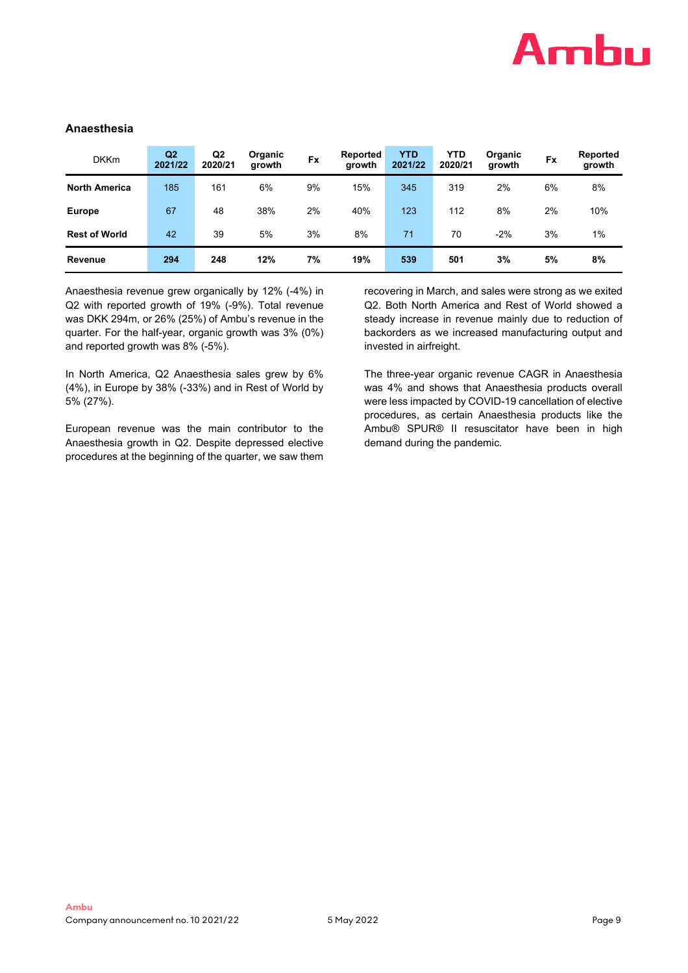

# **Anaesthesia**

| <b>DKKm</b>          | Q2<br>2021/22 | Q <sub>2</sub><br>2020/21 | Organic<br>growth | <b>Fx</b> | Reported<br>arowth | <b>YTD</b><br>2021/22 | <b>YTD</b><br>2020/21 | Organic<br>growth | <b>Fx</b> | Reported<br>growth |
|----------------------|---------------|---------------------------|-------------------|-----------|--------------------|-----------------------|-----------------------|-------------------|-----------|--------------------|
| <b>North America</b> | 185           | 161                       | 6%                | 9%        | 15%                | 345                   | 319                   | 2%                | 6%        | 8%                 |
| <b>Europe</b>        | 67            | 48                        | 38%               | 2%        | 40%                | 123                   | 112                   | 8%                | 2%        | 10%                |
| <b>Rest of World</b> | 42            | 39                        | 5%                | 3%        | 8%                 | 71                    | 70                    | $-2%$             | 3%        | 1%                 |
| Revenue              | 294           | 248                       | 12%               | 7%        | 19%                | 539                   | 501                   | 3%                | 5%        | 8%                 |

Anaesthesia revenue grew organically by 12% (-4%) in Q2 with reported growth of 19% (-9%). Total revenue was DKK 294m, or 26% (25%) of Ambu's revenue in the quarter. For the half-year, organic growth was 3% (0%) and reported growth was 8% (-5%).

In North America, Q2 Anaesthesia sales grew by 6% (4%), in Europe by 38% (-33%) and in Rest of World by 5% (27%).

European revenue was the main contributor to the Anaesthesia growth in Q2. Despite depressed elective procedures at the beginning of the quarter, we saw them recovering in March, and sales were strong as we exited Q2. Both North America and Rest of World showed a steady increase in revenue mainly due to reduction of backorders as we increased manufacturing output and invested in airfreight.

The three-year organic revenue CAGR in Anaesthesia was 4% and shows that Anaesthesia products overall were less impacted by COVID-19 cancellation of elective procedures, as certain Anaesthesia products like the Ambu® SPUR® II resuscitator have been in high demand during the pandemic.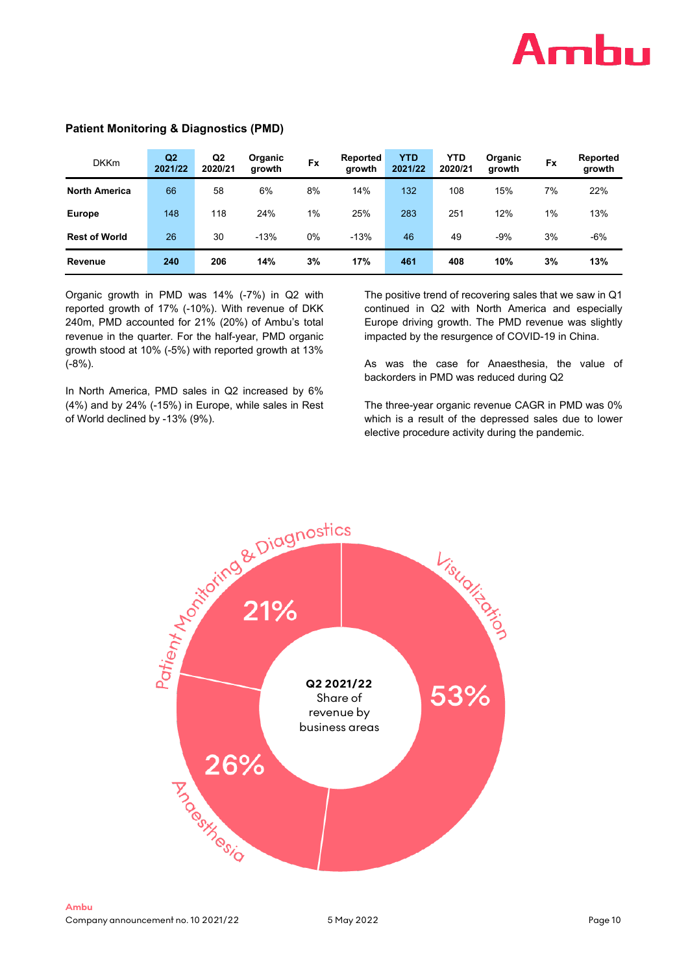

| <b>DKKm</b>          | Q <sub>2</sub><br>2021/22 | Q <sub>2</sub><br>2020/21 | Organic<br>growth | <b>Fx</b> | Reported<br>growth | <b>YTD</b><br>2021/22 | <b>YTD</b><br>2020/21 | Organic<br>growth | <b>Fx</b> | Reported<br>growth |
|----------------------|---------------------------|---------------------------|-------------------|-----------|--------------------|-----------------------|-----------------------|-------------------|-----------|--------------------|
| <b>North America</b> | 66                        | 58                        | 6%                | 8%        | 14%                | 132                   | 108                   | 15%               | 7%        | 22%                |
| <b>Europe</b>        | 148                       | 118                       | 24%               | 1%        | 25%                | 283                   | 251                   | 12%               | $1\%$     | 13%                |
| <b>Rest of World</b> | 26                        | 30                        | $-13%$            | 0%        | $-13%$             | 46                    | 49                    | -9%               | 3%        | $-6%$              |
| Revenue              | 240                       | 206                       | 14%               | 3%        | 17%                | 461                   | 408                   | 10%               | 3%        | 13%                |

# **Patient Monitoring & Diagnostics (PMD)**

Organic growth in PMD was 14% (-7%) in Q2 with reported growth of 17% (-10%). With revenue of DKK 240m, PMD accounted for 21% (20%) of Ambu's total revenue in the quarter. For the half-year, PMD organic growth stood at 10% (-5%) with reported growth at 13% (-8%).

In North America, PMD sales in Q2 increased by 6% (4%) and by 24% (-15%) in Europe, while sales in Rest of World declined by -13% (9%).

The positive trend of recovering sales that we saw in Q1 continued in Q2 with North America and especially Europe driving growth. The PMD revenue was slightly impacted by the resurgence of COVID-19 in China.

As was the case for Anaesthesia, the value of backorders in PMD was reduced during Q2

The three-year organic revenue CAGR in PMD was 0% which is a result of the depressed sales due to lower elective procedure activity during the pandemic.

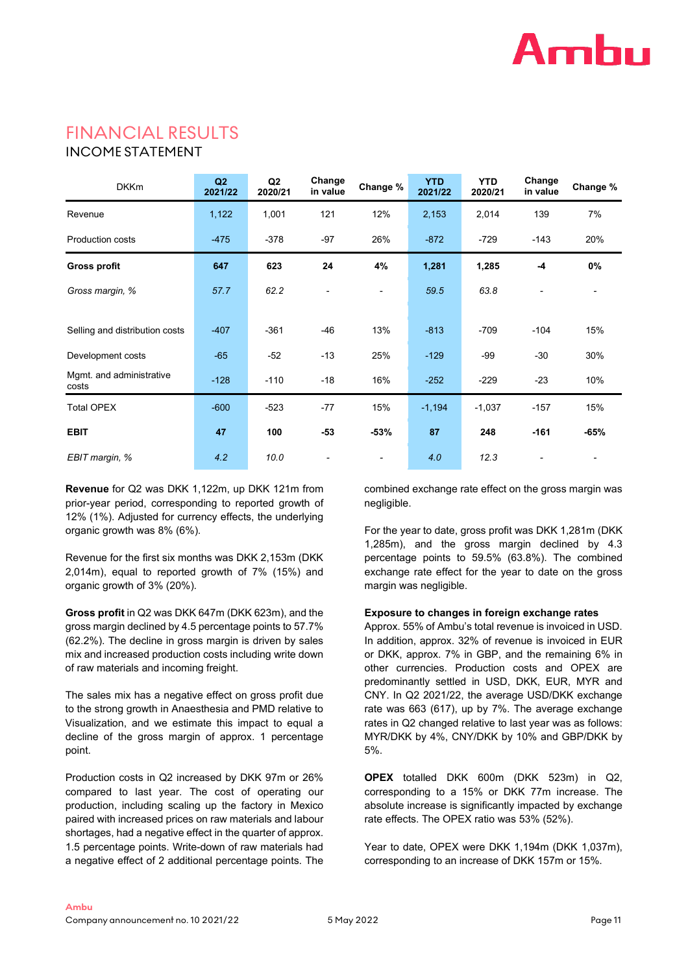

# FINANCIAL RESULTS

# INCOME STATEMENT

| <b>DKKm</b>                       | Q2<br>2021/22 | Q <sub>2</sub><br>2020/21 | Change<br>in value       | Change %                 | <b>YTD</b><br>2021/22 | <b>YTD</b><br>2020/21 | Change<br>in value | Change % |
|-----------------------------------|---------------|---------------------------|--------------------------|--------------------------|-----------------------|-----------------------|--------------------|----------|
| Revenue                           | 1,122         | 1,001                     | 121                      | 12%                      | 2,153                 | 2,014                 | 139                | 7%       |
| <b>Production costs</b>           | $-475$        | $-378$                    | $-97$                    | 26%                      | $-872$                | $-729$                | $-143$             | 20%      |
| <b>Gross profit</b>               | 647           | 623                       | 24                       | 4%                       | 1,281                 | 1,285                 | $-4$               | 0%       |
| Gross margin, %                   | 57.7          | 62.2                      |                          | $\overline{\phantom{a}}$ | 59.5                  | 63.8                  |                    |          |
|                                   |               |                           |                          |                          |                       |                       |                    |          |
| Selling and distribution costs    | $-407$        | $-361$                    | $-46$                    | 13%                      | $-813$                | $-709$                | $-104$             | 15%      |
| Development costs                 | $-65$         | $-52$                     | $-13$                    | 25%                      | $-129$                | $-99$                 | $-30$              | 30%      |
| Mgmt. and administrative<br>costs | $-128$        | $-110$                    | $-18$                    | 16%                      | $-252$                | $-229$                | $-23$              | 10%      |
| <b>Total OPEX</b>                 | $-600$        | $-523$                    | $-77$                    | 15%                      | $-1,194$              | $-1,037$              | $-157$             | 15%      |
| <b>EBIT</b>                       | 47            | 100                       | $-53$                    | -53%                     | 87                    | 248                   | $-161$             | $-65%$   |
| EBIT margin, %                    | 4.2           | 10.0                      | $\overline{\phantom{a}}$ | $\overline{\phantom{a}}$ | 4.0                   | 12.3                  |                    |          |

**Revenue** for Q2 was DKK 1,122m, up DKK 121m from prior-year period, corresponding to reported growth of 12% (1%). Adjusted for currency effects, the underlying organic growth was 8% (6%).

Revenue for the first six months was DKK 2,153m (DKK 2,014m), equal to reported growth of 7% (15%) and organic growth of 3% (20%).

**Gross profit** in Q2 was DKK 647m (DKK 623m), and the gross margin declined by 4.5 percentage points to 57.7% (62.2%). The decline in gross margin is driven by sales mix and increased production costs including write down of raw materials and incoming freight.

The sales mix has a negative effect on gross profit due to the strong growth in Anaesthesia and PMD relative to Visualization, and we estimate this impact to equal a decline of the gross margin of approx. 1 percentage point.

Production costs in Q2 increased by DKK 97m or 26% compared to last year. The cost of operating our production, including scaling up the factory in Mexico paired with increased prices on raw materials and labour shortages, had a negative effect in the quarter of approx. 1.5 percentage points. Write-down of raw materials had a negative effect of 2 additional percentage points. The combined exchange rate effect on the gross margin was negligible.

For the year to date, gross profit was DKK 1,281m (DKK 1,285m), and the gross margin declined by 4.3 percentage points to 59.5% (63.8%). The combined exchange rate effect for the year to date on the gross margin was negligible.

## **Exposure to changes in foreign exchange rates**

Approx. 55% of Ambu's total revenue is invoiced in USD. In addition, approx. 32% of revenue is invoiced in EUR or DKK, approx. 7% in GBP, and the remaining 6% in other currencies. Production costs and OPEX are predominantly settled in USD, DKK, EUR, MYR and CNY. In Q2 2021/22, the average USD/DKK exchange rate was 663 (617), up by 7%. The average exchange rates in Q2 changed relative to last year was as follows: MYR/DKK by 4%, CNY/DKK by 10% and GBP/DKK by 5%.

**OPEX** totalled DKK 600m (DKK 523m) in Q2, corresponding to a 15% or DKK 77m increase. The absolute increase is significantly impacted by exchange rate effects. The OPEX ratio was 53% (52%).

Year to date, OPEX were DKK 1,194m (DKK 1,037m), corresponding to an increase of DKK 157m or 15%.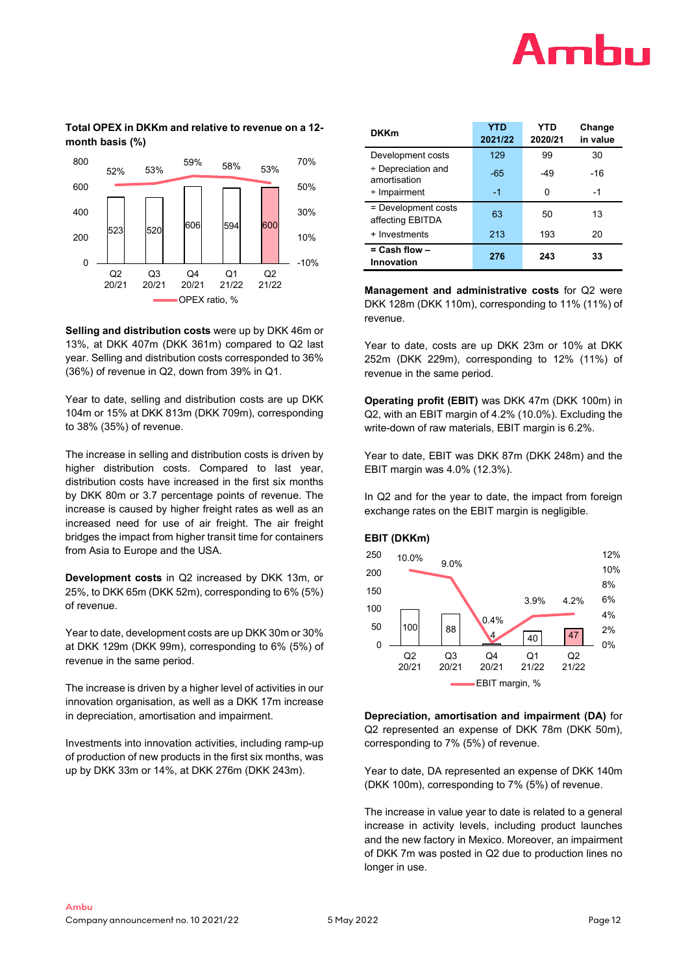# Amhu

# **Total OPEX in DKKm and relative to revenue on a 12 month basis (%)**



**Selling and distribution costs** were up by DKK 46m or 13%, at DKK 407m (DKK 361m) compared to Q2 last year. Selling and distribution costs corresponded to 36% (36%) of revenue in Q2, down from 39% in Q1.

Year to date, selling and distribution costs are up DKK 104m or 15% at DKK 813m (DKK 709m), corresponding to 38% (35%) of revenue.

The increase in selling and distribution costs is driven by higher distribution costs. Compared to last year, distribution costs have increased in the first six months by DKK 80m or 3.7 percentage points of revenue. The increase is caused by higher freight rates as well as an increased need for use of air freight. The air freight bridges the impact from higher transit time for containers from Asia to Europe and the USA.

**Development costs** in Q2 increased by DKK 13m, or 25%, to DKK 65m (DKK 52m), corresponding to 6% (5%) of revenue.

Year to date, development costs are up DKK 30m or 30% at DKK 129m (DKK 99m), corresponding to 6% (5%) of revenue in the same period.

The increase is driven by a higher level of activities in our innovation organisation, as well as a DKK 17m increase in depreciation, amortisation and impairment.

Investments into innovation activities, including ramp-up of production of new products in the first six months, was up by DKK 33m or 14%, at DKK 276m (DKK 243m).

| <b>DKKm</b>                             | <b>YTD</b><br>2021/22 | YTD<br>2020/21 | Change<br>in value |
|-----------------------------------------|-----------------------|----------------|--------------------|
| Development costs                       | 129                   | 99             | 30                 |
| ÷ Depreciation and<br>amortisation      | $-65$                 | -49            | $-16$              |
| $\div$ Impairment                       | $-1$                  | 0              | -1                 |
| = Development costs<br>affecting EBITDA | 63                    | 50             | 13                 |
| + Investments                           | 213                   | 193            | 20                 |
| $=$ Cash flow $-$<br>Innovation         | 276                   | 243            | 33                 |

**Management and administrative costs** for Q2 were DKK 128m (DKK 110m), corresponding to 11% (11%) of revenue.

Year to date, costs are up DKK 23m or 10% at DKK 252m (DKK 229m), corresponding to 12% (11%) of revenue in the same period.

**Operating profit (EBIT)** was DKK 47m (DKK 100m) in Q2, with an EBIT margin of 4.2% (10.0%). Excluding the write-down of raw materials, EBIT margin is 6.2%.

Year to date, EBIT was DKK 87m (DKK 248m) and the EBIT margin was 4.0% (12.3%).

In Q2 and for the year to date, the impact from foreign exchange rates on the EBIT margin is negligible.

# **EBIT (DKKm)**



**Depreciation, amortisation and impairment (DA)** for Q2 represented an expense of DKK 78m (DKK 50m), corresponding to 7% (5%) of revenue.

Year to date, DA represented an expense of DKK 140m (DKK 100m), corresponding to 7% (5%) of revenue.

The increase in value year to date is related to a general increase in activity levels, including product launches and the new factory in Mexico. Moreover, an impairment of DKK 7m was posted in Q2 due to production lines no longer in use.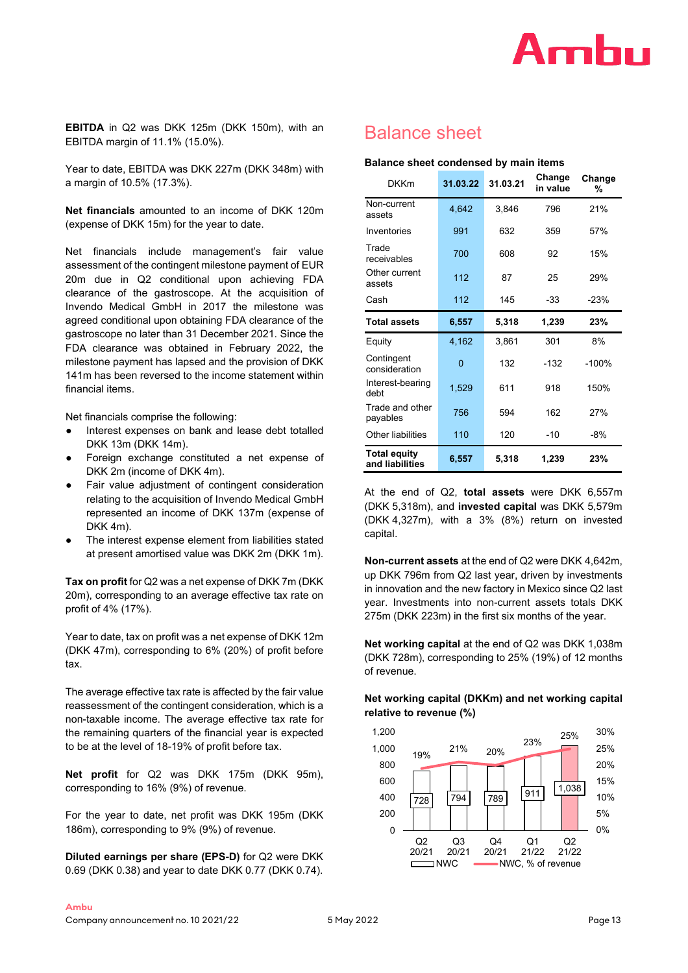

**EBITDA** in Q2 was DKK 125m (DKK 150m), with an EBITDA margin of 11.1% (15.0%).

Year to date, EBITDA was DKK 227m (DKK 348m) with a margin of 10.5% (17.3%).

**Net financials** amounted to an income of DKK 120m (expense of DKK 15m) for the year to date.

Net financials include management's fair value assessment of the contingent milestone payment of EUR 20m due in Q2 conditional upon achieving FDA clearance of the gastroscope. At the acquisition of Invendo Medical GmbH in 2017 the milestone was agreed conditional upon obtaining FDA clearance of the gastroscope no later than 31 December 2021. Since the FDA clearance was obtained in February 2022, the milestone payment has lapsed and the provision of DKK 141m has been reversed to the income statement within financial items.

Net financials comprise the following:

- Interest expenses on bank and lease debt totalled DKK 13m (DKK 14m).
- Foreign exchange constituted a net expense of DKK 2m (income of DKK 4m).
- Fair value adjustment of contingent consideration relating to the acquisition of Invendo Medical GmbH represented an income of DKK 137m (expense of DKK 4m).
- The interest expense element from liabilities stated at present amortised value was DKK 2m (DKK 1m).

**Tax on profit** for Q2 was a net expense of DKK 7m (DKK 20m), corresponding to an average effective tax rate on profit of 4% (17%).

Year to date, tax on profit was a net expense of DKK 12m (DKK 47m), corresponding to 6% (20%) of profit before tax.

The average effective tax rate is affected by the fair value reassessment of the contingent consideration, which is a non-taxable income. The average effective tax rate for the remaining quarters of the financial year is expected to be at the level of 18-19% of profit before tax.

**Net profit** for Q2 was DKK 175m (DKK 95m), corresponding to 16% (9%) of revenue.

For the year to date, net profit was DKK 195m (DKK 186m), corresponding to 9% (9%) of revenue.

**Diluted earnings per share (EPS-D)** for Q2 were DKK 0.69 (DKK 0.38) and year to date DKK 0.77 (DKK 0.74).

# Balance sheet

#### **Balance sheet condensed by main items**

| <b>DKKm</b>                            | 31.03.22 | 31.03.21 | Change<br>in value | Change<br>% |
|----------------------------------------|----------|----------|--------------------|-------------|
| Non-current<br>assets                  | 4,642    | 3,846    | 796                | 21%         |
| Inventories                            | 991      | 632      | 359                | 57%         |
| Trade<br>receivables                   | 700      | 608      | 92                 | 15%         |
| Other current<br>assets                | 112      | 87       | 25                 | 29%         |
| Cash                                   | 112      | 145      | -33                | $-23%$      |
| <b>Total assets</b>                    | 6,557    | 5,318    | 1,239              | 23%         |
| Equity                                 | 4,162    | 3,861    | 301                | 8%          |
| Contingent<br>consideration            | 0        | 132      | $-132$             | $-100%$     |
| Interest-bearing<br>debt               | 1,529    | 611      | 918                | 150%        |
| Trade and other<br>payables            | 756      | 594      | 162                | 27%         |
| Other liabilities                      | 110      | 120      | -10                | -8%         |
| <b>Total equity</b><br>and liabilities | 6,557    | 5,318    | 1,239              | 23%         |

At the end of Q2, **total assets** were DKK 6,557m (DKK 5,318m), and **invested capital** was DKK 5,579m (DKK 4,327m), with a 3% (8%) return on invested capital.

**Non-current assets** at the end of Q2 were DKK 4,642m, up DKK 796m from Q2 last year, driven by investments in innovation and the new factory in Mexico since Q2 last year. Investments into non-current assets totals DKK 275m (DKK 223m) in the first six months of the year.

**Net working capital** at the end of Q2 was DKK 1,038m (DKK 728m), corresponding to 25% (19%) of 12 months of revenue.

## **Net working capital (DKKm) and net working capital relative to revenue (%)**

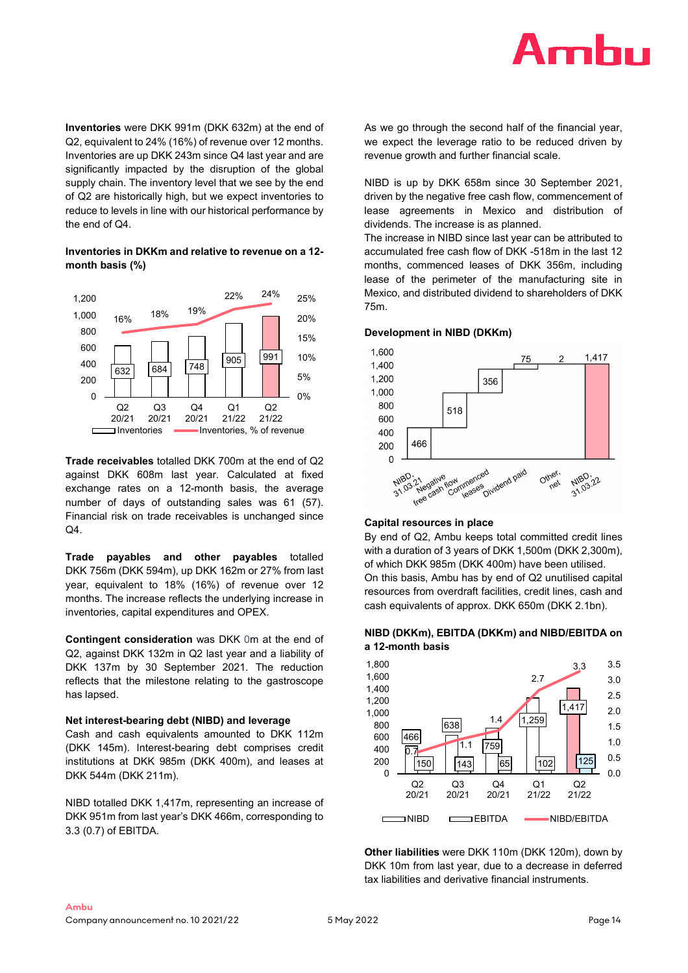

**Inventories** were DKK 991m (DKK 632m) at the end of Q2, equivalent to 24% (16%) of revenue over 12 months. Inventories are up DKK 243m since Q4 last year and are significantly impacted by the disruption of the global supply chain. The inventory level that we see by the end of Q2 are historically high, but we expect inventories to reduce to levels in line with our historical performance by the end of Q4.

**Inventories in DKKm and relative to revenue on a 12 month basis (%)**



**Trade receivables** totalled DKK 700m at the end of Q2 against DKK 608m last year. Calculated at fixed exchange rates on a 12-month basis, the average number of days of outstanding sales was 61 (57). Financial risk on trade receivables is unchanged since Q4.

**Trade payables and other payables** totalled DKK 756m (DKK 594m), up DKK 162m or 27% from last year, equivalent to 18% (16%) of revenue over 12 months. The increase reflects the underlying increase in inventories, capital expenditures and OPEX.

**Contingent consideration** was DKK 0m at the end of Q2, against DKK 132m in Q2 last year and a liability of DKK 137m by 30 September 2021. The reduction reflects that the milestone relating to the gastroscope has lapsed.

#### **Net interest-bearing debt (NIBD) and leverage**

Cash and cash equivalents amounted to DKK 112m (DKK 145m). Interest-bearing debt comprises credit institutions at DKK 985m (DKK 400m), and leases at DKK 544m (DKK 211m).

NIBD totalled DKK 1,417m, representing an increase of DKK 951m from last year's DKK 466m, corresponding to 3.3 (0.7) of EBITDA.

As we go through the second half of the financial year, we expect the leverage ratio to be reduced driven by revenue growth and further financial scale.

NIBD is up by DKK 658m since 30 September 2021, driven by the negative free cash flow, commencement of lease agreements in Mexico and distribution of dividends. The increase is as planned.

The increase in NIBD since last year can be attributed to accumulated free cash flow of DKK -518m in the last 12 months, commenced leases of DKK 356m, including lease of the perimeter of the manufacturing site in Mexico, and distributed dividend to shareholders of DKK 75m.

#### **Development in NIBD (DKKm)**



#### **Capital resources in place**

By end of Q2, Ambu keeps total committed credit lines with a duration of 3 years of DKK 1,500m (DKK 2,300m), of which DKK 985m (DKK 400m) have been utilised. On this basis, Ambu has by end of Q2 unutilised capital resources from overdraft facilities, credit lines, cash and cash equivalents of approx. DKK 650m (DKK 2.1bn).

### **NIBD (DKKm), EBITDA (DKKm) and NIBD/EBITDA on a 12-month basis**



**Other liabilities** were DKK 110m (DKK 120m), down by DKK 10m from last year, due to a decrease in deferred tax liabilities and derivative financial instruments.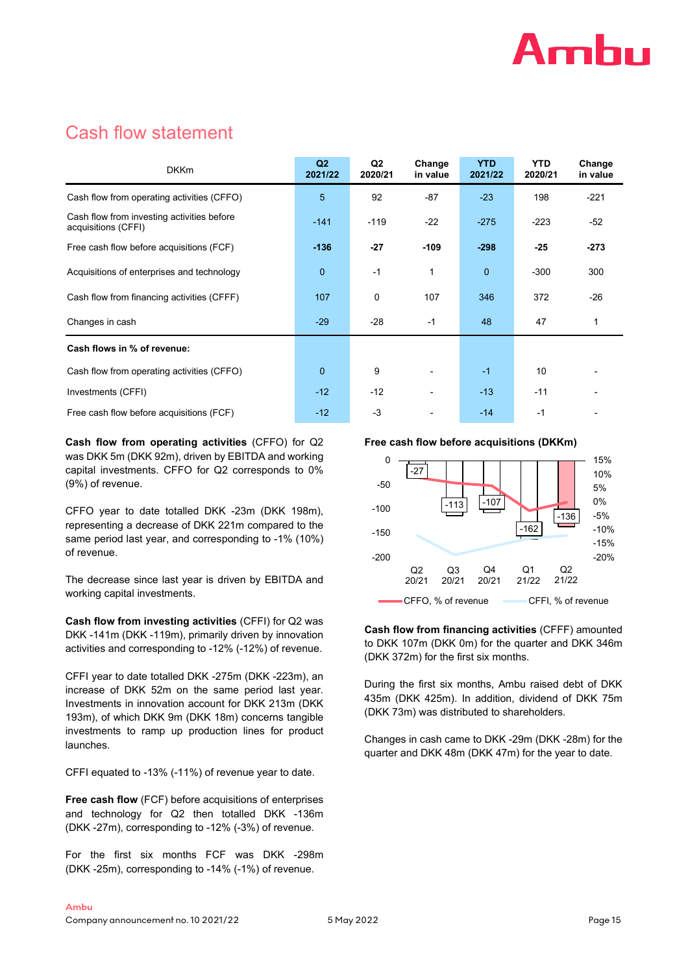

# Cash flow statement

| <b>DKKm</b>                                                       | Q2<br>2021/22 | Q <sub>2</sub><br>2020/21 | Change<br>in value | <b>YTD</b><br>2021/22 | <b>YTD</b><br>2020/21 | Change<br>in value |
|-------------------------------------------------------------------|---------------|---------------------------|--------------------|-----------------------|-----------------------|--------------------|
| Cash flow from operating activities (CFFO)                        | 5             | 92                        | $-87$              | $-23$                 | 198                   | $-221$             |
| Cash flow from investing activities before<br>acquisitions (CFFI) | $-141$        | $-119$                    | $-22$              | $-275$                | $-223$                | $-52$              |
| Free cash flow before acquisitions (FCF)                          | $-136$        | $-27$                     | $-109$             | $-298$                | $-25$                 | $-273$             |
| Acquisitions of enterprises and technology                        | $\mathbf{0}$  | $-1$                      | 1                  | $\overline{0}$        | $-300$                | 300                |
| Cash flow from financing activities (CFFF)                        | 107           | 0                         | 107                | 346                   | 372                   | $-26$              |
| Changes in cash                                                   | $-29$         | $-28$                     | $-1$               | 48                    | 47                    | 1                  |
| Cash flows in % of revenue:                                       |               |                           |                    |                       |                       |                    |
| Cash flow from operating activities (CFFO)                        | $\mathbf{0}$  | 9                         |                    | $-1$                  | 10                    |                    |
| Investments (CFFI)                                                | $-12$         | $-12$                     |                    | $-13$                 | $-11$                 |                    |
| Free cash flow before acquisitions (FCF)                          | $-12$         | $-3$                      |                    | $-14$                 | $-1$                  |                    |

**Cash flow from operating activities** (CFFO) for Q2 was DKK 5m (DKK 92m), driven by EBITDA and working capital investments. CFFO for Q2 corresponds to 0% (9%) of revenue.

CFFO year to date totalled DKK -23m (DKK 198m), representing a decrease of DKK 221m compared to the same period last year, and corresponding to -1% (10%) of revenue.

The decrease since last year is driven by EBITDA and working capital investments.

**Cash flow from investing activities** (CFFI) for Q2 was DKK -141m (DKK -119m), primarily driven by innovation activities and corresponding to -12% (-12%) of revenue.

CFFI year to date totalled DKK -275m (DKK -223m), an increase of DKK 52m on the same period last year. Investments in innovation account for DKK 213m (DKK 193m), of which DKK 9m (DKK 18m) concerns tangible investments to ramp up production lines for product launches.

CFFI equated to -13% (-11%) of revenue year to date.

**Free cash flow** (FCF) before acquisitions of enterprises and technology for Q2 then totalled DKK -136m (DKK -27m), corresponding to -12% (-3%) of revenue.

For the first six months FCF was DKK -298m (DKK -25m), corresponding to -14% (-1%) of revenue.

**Free cash flow before acquisitions (DKKm)**



**Cash flow from financing activities** (CFFF) amounted to DKK 107m (DKK 0m) for the quarter and DKK 346m (DKK 372m) for the first six months.

During the first six months, Ambu raised debt of DKK 435m (DKK 425m). In addition, dividend of DKK 75m (DKK 73m) was distributed to shareholders.

Changes in cash came to DKK -29m (DKK -28m) for the quarter and DKK 48m (DKK 47m) for the year to date.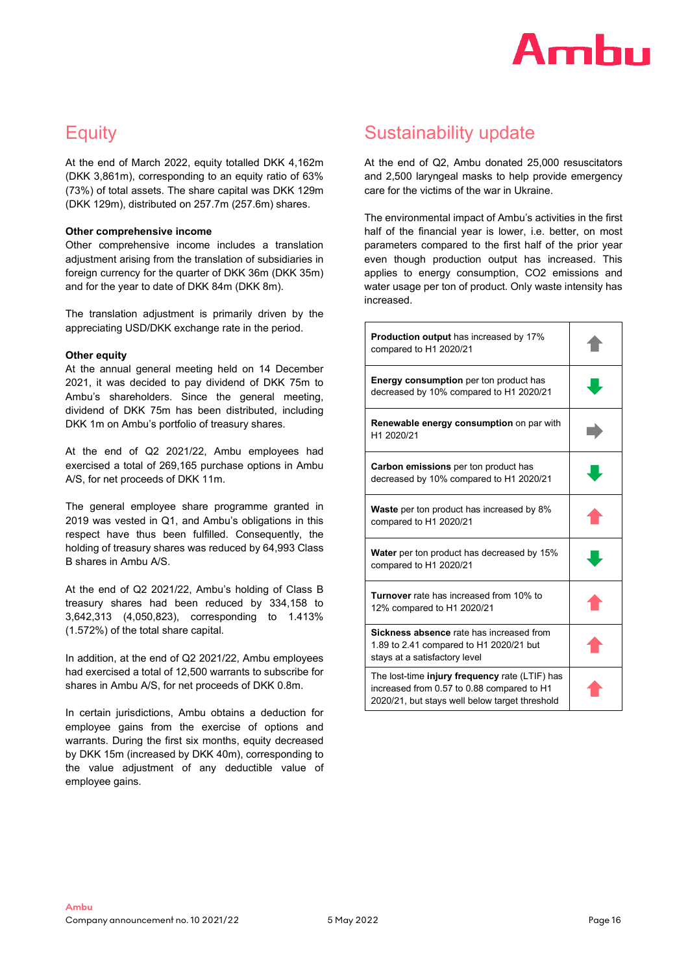

# **Equity**

At the end of March 2022, equity totalled DKK 4,162m (DKK 3,861m), corresponding to an equity ratio of 63% (73%) of total assets. The share capital was DKK 129m (DKK 129m), distributed on 257.7m (257.6m) shares.

### **Other comprehensive income**

Other comprehensive income includes a translation adjustment arising from the translation of subsidiaries in foreign currency for the quarter of DKK 36m (DKK 35m) and for the year to date of DKK 84m (DKK 8m).

The translation adjustment is primarily driven by the appreciating USD/DKK exchange rate in the period.

# **Other equity**

At the annual general meeting held on 14 December 2021, it was decided to pay dividend of DKK 75m to Ambu's shareholders. Since the general meeting, dividend of DKK 75m has been distributed, including DKK 1m on Ambu's portfolio of treasury shares.

At the end of Q2 2021/22, Ambu employees had exercised a total of 269,165 purchase options in Ambu A/S, for net proceeds of DKK 11m.

The general employee share programme granted in 2019 was vested in Q1, and Ambu's obligations in this respect have thus been fulfilled. Consequently, the holding of treasury shares was reduced by 64,993 Class B shares in Ambu A/S.

At the end of Q2 2021/22, Ambu's holding of Class B treasury shares had been reduced by 334,158 to 3,642,313 (4,050,823), corresponding to 1.413% (1.572%) of the total share capital.

In addition, at the end of Q2 2021/22, Ambu employees had exercised a total of 12,500 warrants to subscribe for shares in Ambu A/S, for net proceeds of DKK 0.8m.

In certain jurisdictions, Ambu obtains a deduction for employee gains from the exercise of options and warrants. During the first six months, equity decreased by DKK 15m (increased by DKK 40m), corresponding to the value adjustment of any deductible value of employee gains.

# Sustainability update

At the end of Q2, Ambu donated 25,000 resuscitators and 2,500 laryngeal masks to help provide emergency care for the victims of the war in Ukraine.

The environmental impact of Ambu's activities in the first half of the financial year is lower, i.e. better, on most parameters compared to the first half of the prior year even though production output has increased. This applies to energy consumption, CO2 emissions and water usage per ton of product. Only waste intensity has increased.

| <b>Production output</b> has increased by 17%<br>compared to H1 2020/21                                                                        |  |
|------------------------------------------------------------------------------------------------------------------------------------------------|--|
| Energy consumption per ton product has<br>decreased by 10% compared to H1 2020/21                                                              |  |
| Renewable energy consumption on par with<br>H1 2020/21                                                                                         |  |
| <b>Carbon emissions</b> per ton product has<br>decreased by 10% compared to H1 2020/21                                                         |  |
| <b>Waste</b> per ton product has increased by 8%<br>compared to H1 2020/21                                                                     |  |
| <b>Water</b> per ton product has decreased by 15%<br>compared to H1 2020/21                                                                    |  |
| <b>Turnover</b> rate has increased from 10% to<br>12% compared to H1 2020/21                                                                   |  |
| Sickness absence rate has increased from<br>1.89 to 2.41 compared to H1 2020/21 but<br>stays at a satisfactory level                           |  |
| The lost-time injury frequency rate (LTIF) has<br>increased from 0.57 to 0.88 compared to H1<br>2020/21, but stays well below target threshold |  |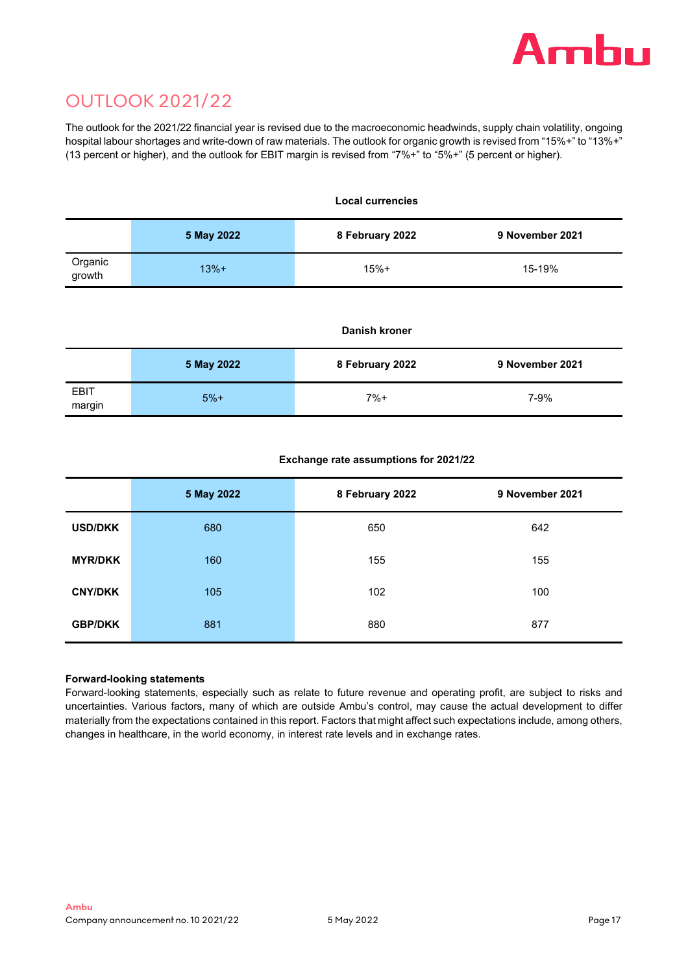

# OUTLOOK 2021/22

The outlook for the 2021/22 financial year is revised due to the macroeconomic headwinds, supply chain volatility, ongoing hospital labour shortages and write-down of raw materials. The outlook for organic growth is revised from "15%+" to "13%+" (13 percent or higher), and the outlook for EBIT margin is revised from "7%+" to "5%+" (5 percent or higher).

|                   |            | <b>Local currencies</b> |                 |  |  |  |  |
|-------------------|------------|-------------------------|-----------------|--|--|--|--|
|                   | 5 May 2022 | 8 February 2022         | 9 November 2021 |  |  |  |  |
| Organic<br>growth | $13%+$     | $15% +$                 | 15-19%          |  |  |  |  |

### **Danish kroner**

|                | 5 May 2022 | 8 February 2022 | 9 November 2021 |
|----------------|------------|-----------------|-----------------|
| EBIT<br>margin | $5%+$      | $7%+$           | 7-9%            |

# **Exchange rate assumptions for 2021/22**

|                | 5 May 2022 | 8 February 2022 | 9 November 2021 |
|----------------|------------|-----------------|-----------------|
| <b>USD/DKK</b> | 680        | 650             | 642             |
| <b>MYR/DKK</b> | 160        | 155             | 155             |
| <b>CNY/DKK</b> | 105        | 102             | 100             |
| <b>GBP/DKK</b> | 881        | 880             | 877             |

# **Forward-looking statements**

Forward-looking statements, especially such as relate to future revenue and operating profit, are subject to risks and uncertainties. Various factors, many of which are outside Ambu's control, may cause the actual development to differ materially from the expectations contained in this report. Factors that might affect such expectations include, among others, changes in healthcare, in the world economy, in interest rate levels and in exchange rates.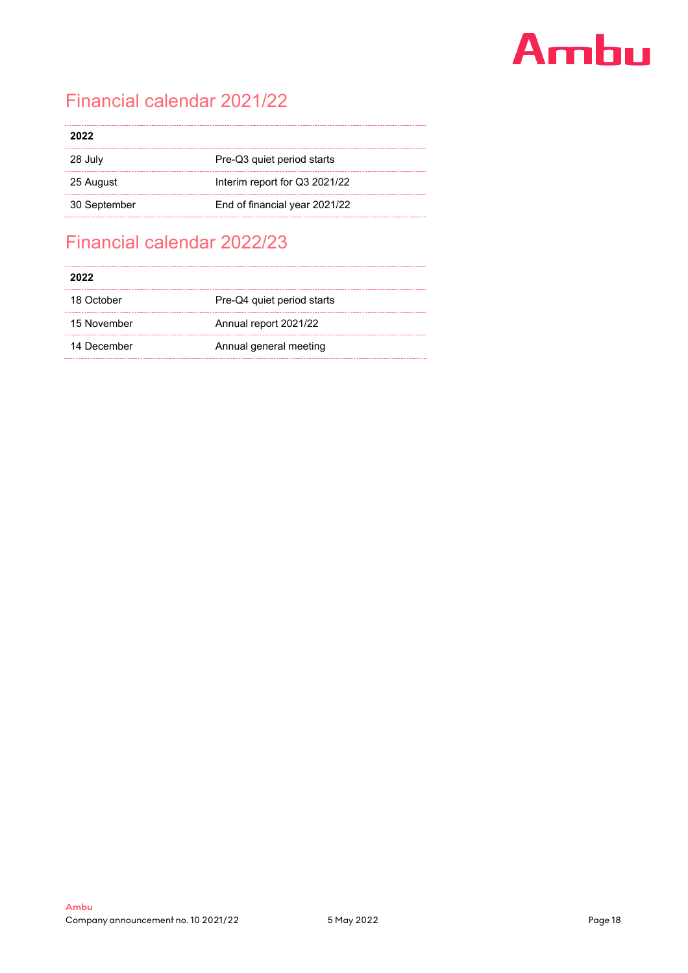# Ambu

# Financial calendar 2021/22

| 2022         |                               |
|--------------|-------------------------------|
| 28 July      | Pre-Q3 quiet period starts    |
| 25 August    | Interim report for Q3 2021/22 |
| 30 September | End of financial year 2021/22 |

# Financial calendar 2022/23

| 2022        |                            |
|-------------|----------------------------|
| 18 October  | Pre-Q4 quiet period starts |
| 15 November | Annual report 2021/22      |
| 14 December | Annual general meeting     |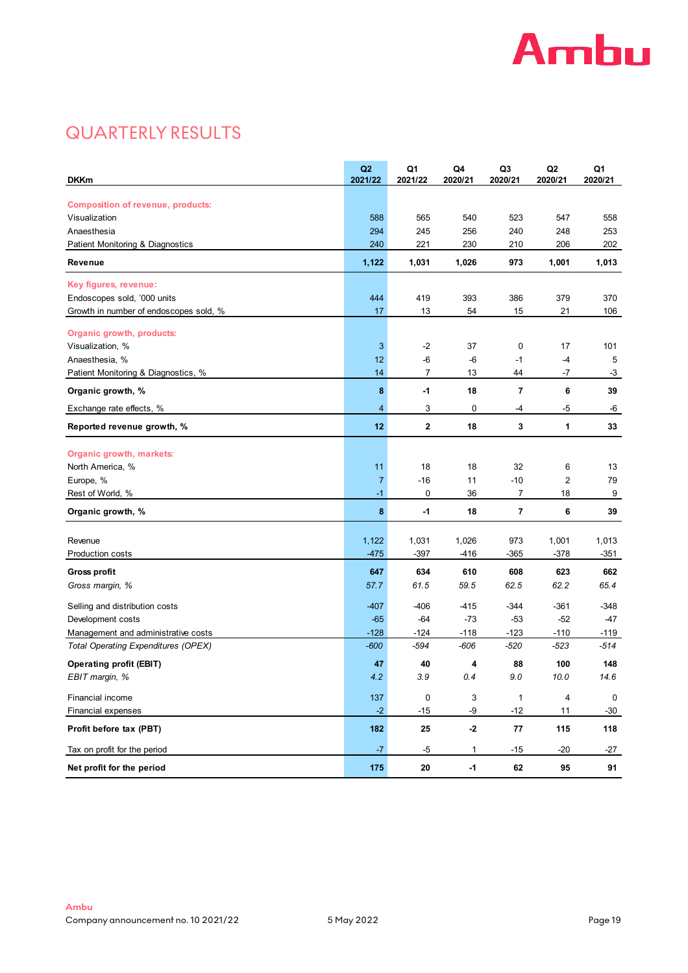

# QUARTERLY RESULTS

| <b>DKKm</b>                                   | Q2<br>2021/22  | Q <sub>1</sub><br>2021/22 | Q4<br>2020/21 | Q <sub>3</sub><br>2020/21 | Q2<br>2020/21 | Q <sub>1</sub><br>2020/21 |
|-----------------------------------------------|----------------|---------------------------|---------------|---------------------------|---------------|---------------------------|
| <b>Composition of revenue, products:</b>      |                |                           |               |                           |               |                           |
| Visualization                                 | 588            | 565                       | 540           | 523                       | 547           | 558                       |
| Anaesthesia                                   | 294            | 245                       | 256           | 240                       | 248           | 253                       |
| Patient Monitoring & Diagnostics              | 240            | 221                       | 230           | 210                       | 206           | 202                       |
| Revenue                                       | 1,122          | 1,031                     | 1,026         | 973                       | 1,001         | 1,013                     |
| Key figures, revenue:                         |                |                           |               |                           |               |                           |
| Endoscopes sold, '000 units                   | 444            | 419                       | 393           | 386                       | 379           | 370                       |
| Growth in number of endoscopes sold, %        | 17             | 13                        | 54            | 15                        | 21            | 106                       |
|                                               |                |                           |               |                           |               |                           |
| Organic growth, products:<br>Visualization, % | $\mathbf{3}$   | $-2$                      | 37            | 0                         | 17            | 101                       |
| Anaesthesia, %                                | 12             | -6                        | -6            | $-1$                      | $-4$          | 5                         |
| Patient Monitoring & Diagnostics, %           | 14             | 7                         | 13            | 44                        | -7            | $-3$                      |
| Organic growth, %                             | 8              | $-1$                      | 18            | 7                         | 6             | 39                        |
| Exchange rate effects, %                      | $\overline{4}$ | 3                         | 0             | -4                        | -5            | -6                        |
| Reported revenue growth, %                    | 12             | $\mathbf 2$               | 18            | 3                         | 1             | 33                        |
|                                               |                |                           |               |                           |               |                           |
| Organic growth, markets:                      |                |                           |               |                           |               |                           |
| North America, %                              | 11             | 18                        | 18            | 32                        | 6             | 13                        |
| Europe, %                                     | $\overline{7}$ | $-16$                     | 11            | $-10$                     | 2             | 79                        |
| Rest of World, %                              | $-1$           | 0                         | 36            | 7                         | 18            | 9                         |
| Organic growth, %                             | 8              | -1                        | 18            | 7                         | 6             | 39                        |
|                                               |                |                           |               |                           |               |                           |
| Revenue                                       | 1,122          | 1,031                     | 1,026         | 973                       | 1,001         | 1,013                     |
| <b>Production costs</b>                       | $-475$         | $-397$                    | $-416$        | $-365$                    | $-378$        | -351                      |
| <b>Gross profit</b>                           | 647            | 634                       | 610           | 608                       | 623           | 662                       |
| Gross margin, %                               | 57.7           | 61.5                      | 59.5          | 62.5                      | 62.2          | 65.4                      |
| Selling and distribution costs                | $-407$         | -406                      | -415          | $-344$                    | -361          | -348                      |
| Development costs                             | $-65$          | $-64$                     | $-73$         | $-53$                     | $-52$         | $-47$                     |
| Management and administrative costs           | $-128$         | $-124$                    | $-118$        | $-123$                    | $-110$        | -119                      |
| Total Operating Expenditures (OPEX)           | $-600$         | -594                      | -606          | -520                      | -523          | -514                      |
| <b>Operating profit (EBIT)</b>                | 47             | 40                        | 4             | 88                        | 100           | 148                       |
| EBIT margin, %                                | 4.2            | 3.9                       | 0.4           | 9.0                       | 10.0          | 14.6                      |
| Financial income                              | 137            | $\mathbf 0$               | 3             | $\mathbf{1}$              | 4             | $\mathsf 0$               |
| Financial expenses                            | $-2$           | -15                       | -9            | -12                       | 11            | $-30$                     |
| Profit before tax (PBT)                       | 182            | 25                        | $-2$          | 77                        | 115           | 118                       |
| Tax on profit for the period                  | $-7$           | $-5$                      | 1             | -15                       | $-20$         | $-27$                     |
| Net profit for the period                     | 175            | 20                        | $-1$          | 62                        | 95            | 91                        |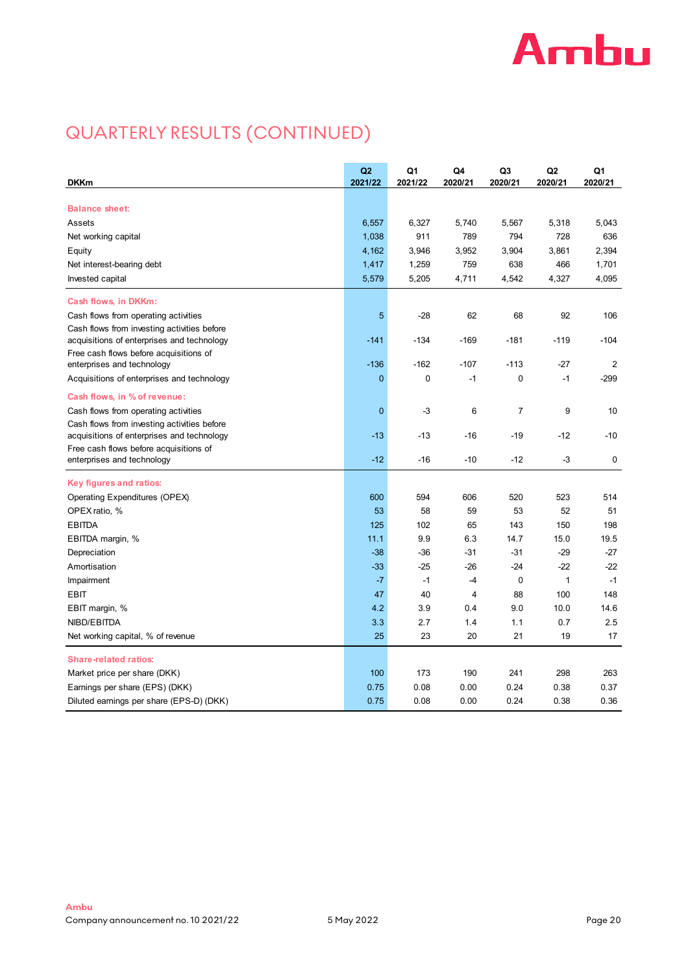# **Ambu**

# QUARTERLY RESULTS (CONTINUED)

| <b>DKKm</b>                                 | Q2<br>2021/22 | Q1<br>2021/22 | Q4<br>2020/21 | Q3<br>2020/21 | Q2<br>2020/21 | Q1<br>2020/21  |
|---------------------------------------------|---------------|---------------|---------------|---------------|---------------|----------------|
|                                             |               |               |               |               |               |                |
| <b>Balance sheet:</b>                       |               |               |               |               |               |                |
| Assets                                      | 6,557         | 6,327         | 5,740         | 5,567         | 5,318         | 5,043          |
| Net working capital                         | 1,038         | 911           | 789           | 794           | 728           | 636            |
| Equity                                      | 4,162         | 3,946         | 3,952         | 3,904         | 3,861         | 2,394          |
| Net interest-bearing debt                   | 1,417         | 1,259         | 759           | 638           | 466           | 1,701          |
| Invested capital                            | 5,579         | 5,205         | 4,711         | 4,542         | 4,327         | 4,095          |
| Cash flows, in DKKm:                        |               |               |               |               |               |                |
| Cash flows from operating activities        | 5             | $-28$         | 62            | 68            | 92            | 106            |
| Cash flows from investing activities before |               |               |               |               |               |                |
| acquisitions of enterprises and technology  | $-141$        | $-134$        | $-169$        | $-181$        | $-119$        | $-104$         |
| Free cash flows before acquisitions of      |               |               |               |               |               |                |
| enterprises and technology                  | $-136$        | -162          | $-107$        | $-113$        | $-27$         | $\overline{2}$ |
| Acquisitions of enterprises and technology  | $\mathbf 0$   | 0             | $-1$          | 0             | $-1$          | -299           |
| Cash flows, in % of revenue:                |               |               |               |               |               |                |
| Cash flows from operating activities        | $\mathbf 0$   | -3            | 6             | 7             | 9             | 10             |
| Cash flows from investing activities before |               |               |               |               |               |                |
| acquisitions of enterprises and technology  | $-13$         | $-13$         | $-16$         | -19           | $-12$         | $-10$          |
| Free cash flows before acquisitions of      |               |               |               |               |               |                |
| enterprises and technology                  | $-12$         | $-16$         | $-10$         | -12           | -3            | 0              |
| Key figures and ratios:                     |               |               |               |               |               |                |
| Operating Expenditures (OPEX)               | 600           | 594           | 606           | 520           | 523           | 514            |
| OPEX ratio, %                               | 53            | 58            | 59            | 53            | 52            | 51             |
| <b>EBITDA</b>                               | 125           | 102           | 65            | 143           | 150           | 198            |
| EBITDA margin, %                            | 11.1          | 9.9           | 6.3           | 14.7          | 15.0          | 19.5           |
| Depreciation                                | $-38$         | $-36$         | $-31$         | $-31$         | $-29$         | $-27$          |
| Amortisation                                | $-33$         | $-25$         | $-26$         | $-24$         | $-22$         | $-22$          |
| Impairment                                  | $-7$          | $-1$          | $-4$          | 0             | $\mathbf{1}$  | $-1$           |
| <b>EBIT</b>                                 | 47            | 40            | 4             | 88            | 100           | 148            |
| EBIT margin, %                              | 4.2           | 3.9           | 0.4           | 9.0           | 10.0          | 14.6           |
| NIBD/EBITDA                                 | 3.3           | 2.7           | 1.4           | 1.1           | 0.7           | 2.5            |
| Net working capital, % of revenue           | 25            | 23            | 20            | 21            | 19            | 17             |
| <b>Share-related ratios:</b>                |               |               |               |               |               |                |
| Market price per share (DKK)                | 100           | 173           | 190           | 241           | 298           | 263            |
| Earnings per share (EPS) (DKK)              | 0.75          | 0.08          | 0.00          | 0.24          | 0.38          | 0.37           |
| Diluted earnings per share (EPS-D) (DKK)    | 0.75          | 0.08          | 0.00          | 0.24          | 0.38          | 0.36           |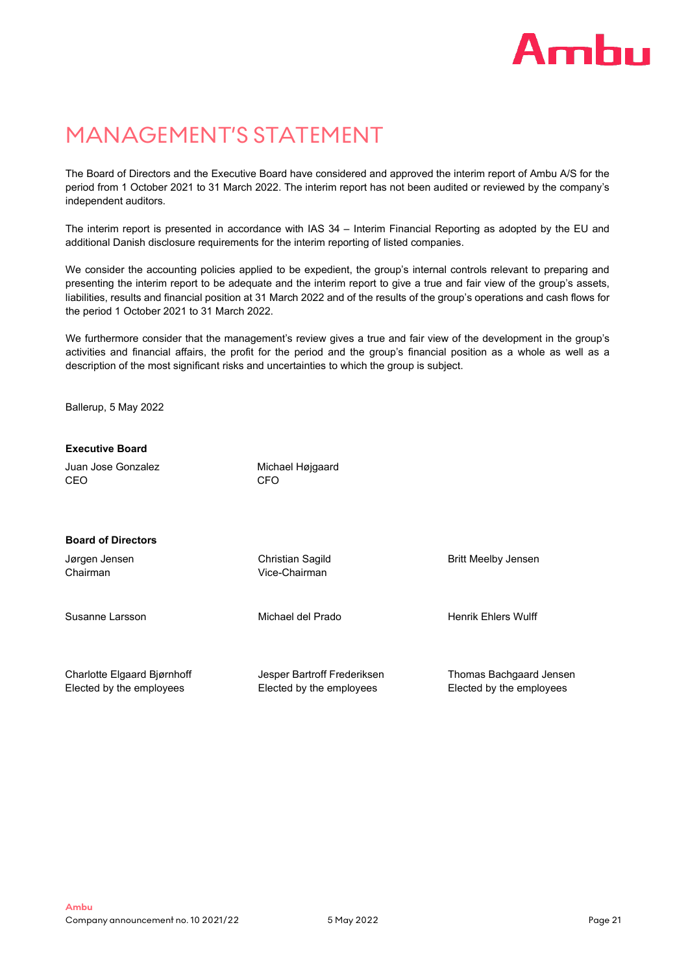# Amhu

# MANAGEMENT'S STATEMENT

The Board of Directors and the Executive Board have considered and approved the interim report of Ambu A/S for the period from 1 October 2021 to 31 March 2022. The interim report has not been audited or reviewed by the company's independent auditors.

The interim report is presented in accordance with IAS 34 – Interim Financial Reporting as adopted by the EU and additional Danish disclosure requirements for the interim reporting of listed companies.

We consider the accounting policies applied to be expedient, the group's internal controls relevant to preparing and presenting the interim report to be adequate and the interim report to give a true and fair view of the group's assets, liabilities, results and financial position at 31 March 2022 and of the results of the group's operations and cash flows for the period 1 October 2021 to 31 March 2022.

We furthermore consider that the management's review gives a true and fair view of the development in the group's activities and financial affairs, the profit for the period and the group's financial position as a whole as well as a description of the most significant risks and uncertainties to which the group is subject.

Ballerup, 5 May 2022

# **Executive Board**

Juan Jose Gonzalez CEO

Michael Højgaard **CFO** 

## **Board of Directors**

Jørgen Jensen Chairman

Christian Sagild Vice-Chairman

Susanne Larsson Michael del Prado Henrik Ehlers Wulff

Britt Meelby Jensen

Charlotte Elgaard Bjørnhoff Elected by the employees

Jesper Bartroff Frederiksen Elected by the employees

Thomas Bachgaard Jensen Elected by the employees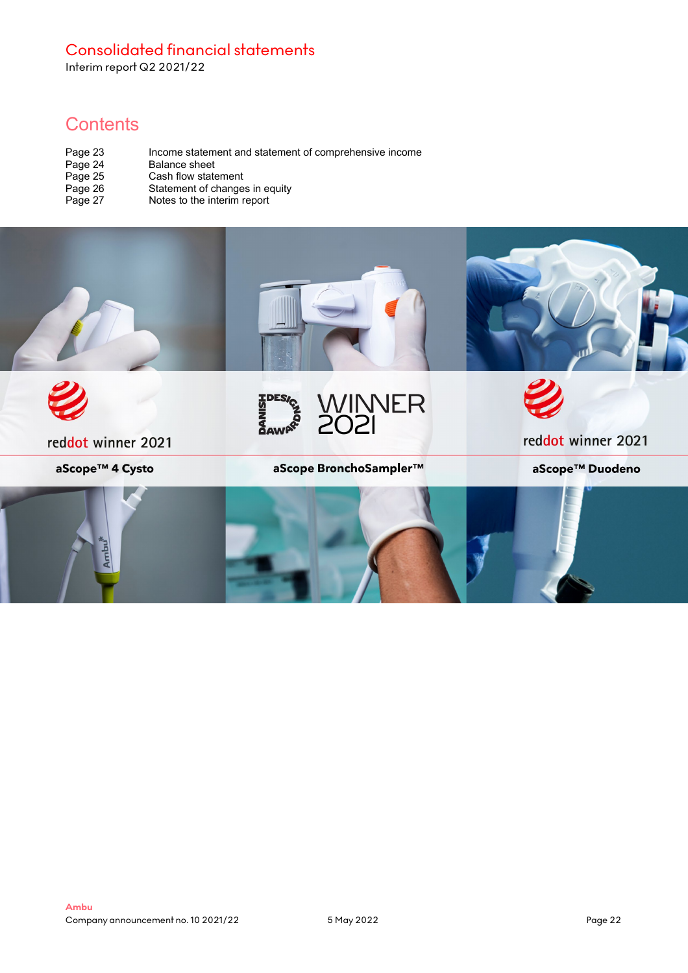# Consolidated financial statements

Interim report Q2 2021/22

# **Contents**

| Page 23 | Income statement and statement of comprehensive income |
|---------|--------------------------------------------------------|
| Page 24 | Balance sheet                                          |
| Page 25 | Cash flow statement                                    |
| Page 26 | Statement of changes in equity                         |
| Page 27 | Notes to the interim report                            |

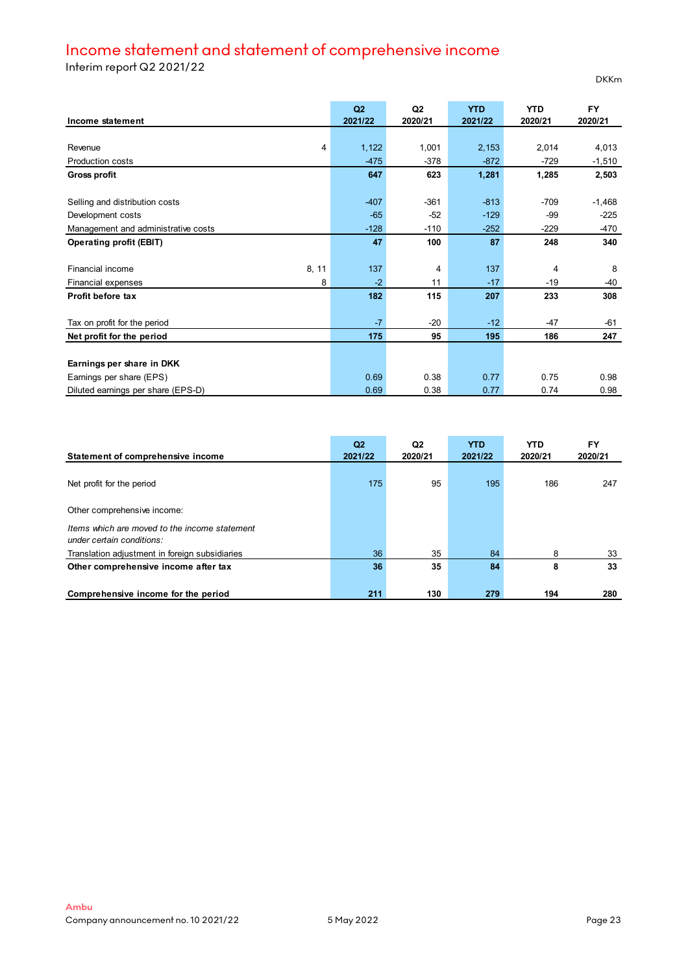# Income statement and statement of comprehensive income

Interim report Q2 2021/22

|                                     | Q2      | Q2             | <b>YTD</b> | <b>YTD</b> | <b>FY</b> |
|-------------------------------------|---------|----------------|------------|------------|-----------|
| Income statement                    | 2021/22 | 2020/21        | 2021/22    | 2020/21    | 2020/21   |
|                                     |         |                |            |            |           |
| 4<br>Revenue                        | 1,122   | 1,001          | 2,153      | 2,014      | 4,013     |
| <b>Production costs</b>             | $-475$  | $-378$         | $-872$     | $-729$     | $-1,510$  |
| <b>Gross profit</b>                 | 647     | 623            | 1,281      | 1,285      | 2,503     |
|                                     |         |                |            |            |           |
| Selling and distribution costs      | $-407$  | $-361$         | $-813$     | $-709$     | $-1,468$  |
| Development costs                   | $-65$   | $-52$          | $-129$     | -99        | $-225$    |
| Management and administrative costs | $-128$  | $-110$         | $-252$     | $-229$     | -470      |
| <b>Operating profit (EBIT)</b>      | 47      | 100            | 87         | 248        | 340       |
|                                     |         |                |            |            |           |
| 8, 11<br><b>Financial income</b>    | 137     | $\overline{4}$ | 137        | 4          | 8         |
| 8<br>Financial expenses             | $-2$    | 11             | $-17$      | $-19$      | -40       |
| Profit before tax                   | 182     | 115            | 207        | 233        | 308       |
|                                     |         |                |            |            |           |
| Tax on profit for the period        | $-7$    | $-20$          | $-12$      | $-47$      | -61       |
| Net profit for the period           | 175     | 95             | 195        | 186        | 247       |
|                                     |         |                |            |            |           |
| Earnings per share in DKK           |         |                |            |            |           |
| Earnings per share (EPS)            | 0.69    | 0.38           | 0.77       | 0.75       | 0.98      |
| Diluted earnings per share (EPS-D)  | 0.69    | 0.38           | 0.77       | 0.74       | 0.98      |

| Statement of comprehensive income                                          | Q <sub>2</sub><br>2021/22 | Q2<br>2020/21 | <b>YTD</b><br>2021/22 | <b>YTD</b><br>2020/21 | <b>FY</b><br>2020/21 |
|----------------------------------------------------------------------------|---------------------------|---------------|-----------------------|-----------------------|----------------------|
| Net profit for the period                                                  | 175                       | 95            | 195                   | 186                   | 247                  |
| Other comprehensive income:                                                |                           |               |                       |                       |                      |
| Items which are moved to the income statement<br>under certain conditions: |                           |               |                       |                       |                      |
| Translation adjustment in foreign subsidiaries                             | 36                        | 35            | 84                    | 8                     | 33                   |
| Other comprehensive income after tax                                       | 36                        | 35            | 84                    | 8                     | 33                   |
| Comprehensive income for the period                                        | 211                       | 130           | 279                   | 194                   | 280                  |

DKKm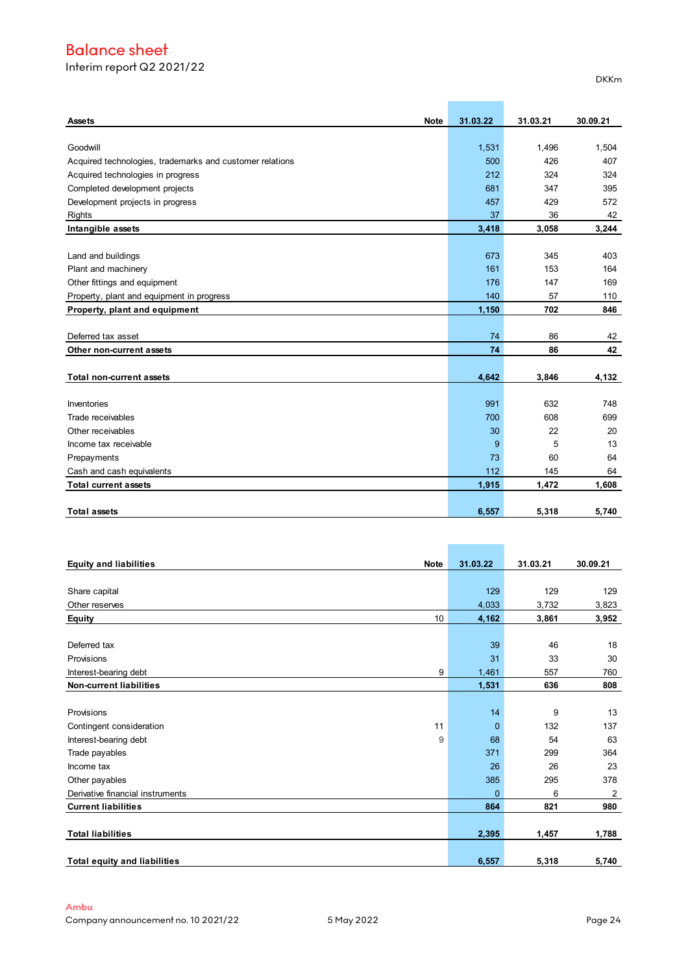# Balance sheet

Interim report Q2 2021/22

| <b>Note</b><br><b>Assets</b>                             | 31.03.22 | 31.03.21 | 30.09.21 |
|----------------------------------------------------------|----------|----------|----------|
|                                                          |          |          |          |
| Goodwill                                                 | 1,531    | 1,496    | 1,504    |
| Acquired technologies, trademarks and customer relations | 500      | 426      | 407      |
| Acquired technologies in progress                        | 212      | 324      | 324      |
| Completed development projects                           | 681      | 347      | 395      |
| Development projects in progress                         | 457      | 429      | 572      |
| <b>Rights</b>                                            | 37       | 36       | 42       |
| Intangible assets                                        | 3,418    | 3,058    | 3,244    |
|                                                          |          |          |          |
| Land and buildings                                       | 673      | 345      | 403      |
| Plant and machinery                                      | 161      | 153      | 164      |
| Other fittings and equipment                             | 176      | 147      | 169      |
| Property, plant and equipment in progress                | 140      | 57       | 110      |
| Property, plant and equipment                            | 1,150    | 702      | 846      |
|                                                          |          |          |          |
| Deferred tax asset                                       | 74       | 86       | 42       |
| Other non-current assets                                 | 74       | 86       | 42       |
|                                                          |          |          |          |
| Total non-current assets                                 | 4,642    | 3,846    | 4,132    |
|                                                          |          |          |          |
| Inventories                                              | 991      | 632      | 748      |
| Trade receivables                                        | 700      | 608      | 699      |
| Other receivables                                        | 30       | 22       | 20       |
| Income tax receivable                                    | 9        | 5        | 13       |
| Prepayments                                              | 73       | 60       | 64       |
| Cash and cash equivalents                                | 112      | 145      | 64       |
| <b>Total current assets</b>                              | 1,915    | 1,472    | 1,608    |
|                                                          |          |          |          |
| <b>Total assets</b>                                      | 6,557    | 5,318    | 5.740    |

| <b>Note</b><br><b>Equity and liabilities</b> |    | 31.03.22 | 31.03.21 | 30.09.21       |
|----------------------------------------------|----|----------|----------|----------------|
|                                              |    |          |          |                |
| Share capital                                |    | 129      | 129      | 129            |
| Other reserves                               |    | 4,033    | 3,732    | 3,823          |
| <b>Equity</b>                                | 10 | 4,162    | 3,861    | 3,952          |
|                                              |    |          |          |                |
| Deferred tax                                 |    | 39       | 46       | 18             |
| Provisions                                   |    | 31       | 33       | 30             |
| Interest-bearing debt                        | 9  | 1,461    | 557      | 760            |
| <b>Non-current liabilities</b>               |    | 1,531    | 636      | 808            |
|                                              |    |          |          |                |
| Provisions                                   |    | 14       | 9        | 13             |
| Contingent consideration                     | 11 | $\Omega$ | 132      | 137            |
| Interest-bearing debt                        | 9  | 68       | 54       | 63             |
| Trade payables                               |    | 371      | 299      | 364            |
| Income tax                                   |    | 26       | 26       | 23             |
| Other payables                               |    | 385      | 295      | 378            |
| Derivative financial instruments             |    | $\Omega$ | 6        | $\overline{2}$ |
| <b>Current liabilities</b>                   |    | 864      | 821      | 980            |
|                                              |    |          |          |                |
| <b>Total liabilities</b>                     |    | 2,395    | 1,457    | 1,788          |
| <b>Total equity and liabilities</b>          |    | 6,557    | 5,318    | 5,740          |

 $\mathcal{L}(\mathcal{L}^{\text{max}}_{\mathcal{L}})$ 

 $\mathbb{R}^n$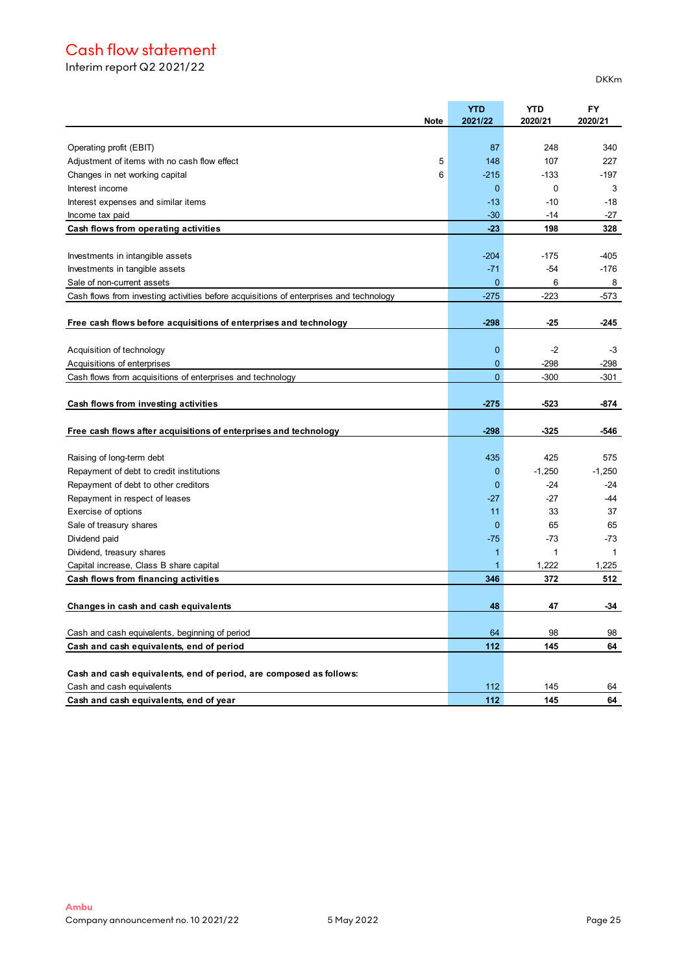# Cash flow statement

Interim report Q2 2021/22

| <b>Note</b>                                                                            | <b>YTD</b><br>2021/22 | <b>YTD</b><br>2020/21 | <b>FY</b><br>2020/21 |
|----------------------------------------------------------------------------------------|-----------------------|-----------------------|----------------------|
|                                                                                        |                       |                       |                      |
| Operating profit (EBIT)                                                                | 87                    | 248                   | 340                  |
| 5<br>Adjustment of items with no cash flow effect                                      | 148                   | 107                   | 227                  |
| Changes in net working capital<br>6                                                    | $-215$                | $-133$                | -197                 |
| Interest income                                                                        | $\mathbf{0}$          | 0                     | 3                    |
| Interest expenses and similar items                                                    | $-13$                 | $-10$                 | $-18$                |
| Income tax paid                                                                        | $-30$                 | $-14$                 | $-27$                |
| Cash flows from operating activities                                                   | $-23$                 | 198                   | 328                  |
|                                                                                        |                       |                       |                      |
| Investments in intangible assets                                                       | $-204$                | $-175$                | -405                 |
| Investments in tangible assets                                                         | $-71$                 | $-54$                 | -176                 |
| Sale of non-current assets                                                             | $\mathbf{0}$          | 6                     | 8                    |
| Cash flows from investing activities before acquisitions of enterprises and technology | $-275$                | $-223$                | -573                 |
|                                                                                        |                       |                       |                      |
| Free cash flows before acquisitions of enterprises and technology                      | $-298$                | -25                   | -245                 |
|                                                                                        |                       |                       |                      |
| Acquisition of technology                                                              | $\mathbf 0$           | $-2$                  | $-3$                 |
| Acquisitions of enterprises                                                            | $\mathbf{0}$          | $-298$                | -298                 |
| Cash flows from acquisitions of enterprises and technology                             | $\Omega$              | $-300$                | -301                 |
|                                                                                        |                       |                       |                      |
| Cash flows from investing activities                                                   | $-275$                | $-523$                | -874                 |
|                                                                                        |                       |                       |                      |
| Free cash flows after acquisitions of enterprises and technology                       | $-298$                | -325                  | -546                 |
|                                                                                        |                       | 425                   | 575                  |
| Raising of long-term debt                                                              | 435<br>$\mathbf 0$    | $-1,250$              | $-1,250$             |
| Repayment of debt to credit institutions                                               | $\Omega$              | $-24$                 | $-24$                |
| Repayment of debt to other creditors                                                   |                       | -27                   | -44                  |
| Repayment in respect of leases                                                         | -27                   |                       |                      |
| Exercise of options                                                                    | 11                    | 33<br>65              | 37                   |
| Sale of treasury shares                                                                | 0                     | $-73$                 | 65                   |
| Dividend paid                                                                          | $-75$                 | 1                     | $-73$                |
| Dividend, treasury shares                                                              | 1                     |                       | $\mathbf 1$          |
| Capital increase, Class B share capital                                                | 1<br>346              | 1,222<br>372          | 1,225<br>512         |
| Cash flows from financing activities                                                   |                       |                       |                      |
|                                                                                        | 48                    | 47                    | -34                  |
| Changes in cash and cash equivalents                                                   |                       |                       |                      |
| Cash and cash equivalents, beginning of period                                         | 64                    | 98                    | 98                   |
| Cash and cash equivalents, end of period                                               | 112                   | 145                   | 64                   |
|                                                                                        |                       |                       |                      |
| Cash and cash equivalents, end of period, are composed as follows:                     |                       |                       |                      |
| Cash and cash equivalents                                                              | 112                   | 145                   | 64                   |
| Cash and cash equivalents, end of year                                                 | 112                   | 145                   | 64                   |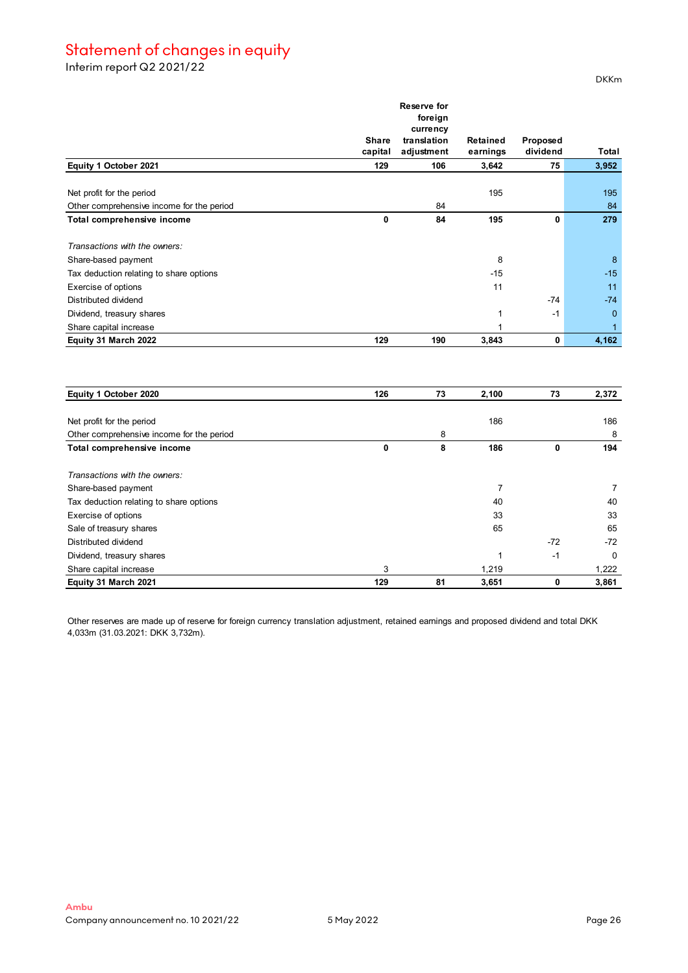# Statement of changes in equity

Interim report Q2 2021/22

|                                           | <b>Share</b> | Reserve for<br>foreign<br>currency<br>translation | Retained       | <b>Proposed</b> |             |
|-------------------------------------------|--------------|---------------------------------------------------|----------------|-----------------|-------------|
|                                           | capital      | adjustment                                        | earnings       | dividend        | Total       |
| Equity 1 October 2021                     | 129          | 106                                               | 3,642          | 75              | 3,952       |
| Net profit for the period                 |              |                                                   | 195            |                 | 195         |
| Other comprehensive income for the period |              | 84                                                |                |                 | 84          |
| Total comprehensive income                | $\mathbf 0$  | 84                                                | 195            | $\mathbf{0}$    | 279         |
| Transactions with the owners:             |              |                                                   |                |                 |             |
| Share-based payment                       |              |                                                   | 8              |                 | 8           |
| Tax deduction relating to share options   |              |                                                   | -15            |                 | $-15$       |
| Exercise of options                       |              |                                                   | 11             |                 | 11          |
| Distributed dividend                      |              |                                                   |                | $-74$           | $-74$       |
| Dividend, treasury shares                 |              |                                                   | 1              | $-1$            | $\mathbf 0$ |
| Share capital increase                    |              |                                                   | 1              |                 | 1           |
| Equity 31 March 2022                      | 129          | 190                                               | 3,843          | $\mathbf 0$     | 4,162       |
| Equity 1 October 2020                     | 126          | 73                                                | 2,100          | 73              | 2,372       |
| Net profit for the period                 |              |                                                   | 186            |                 | 186         |
| Other comprehensive income for the period |              | 8                                                 |                |                 | 8           |
| Total comprehensive income                | $\mathbf 0$  | 8                                                 | 186            | $\mathbf 0$     | 194         |
| Transactions with the owners:             |              |                                                   |                |                 |             |
| Share-based payment                       |              |                                                   | $\overline{7}$ |                 | 7           |
| Tax deduction relating to share options   |              |                                                   | 40             |                 | 40          |
| Exercise of options                       |              |                                                   | 33             |                 | 33          |
| Sale of treasury shares                   |              |                                                   | 65             |                 | 65          |
| Distributed dividend                      |              |                                                   |                | $-72$           | $-72$       |
| Dividend, treasury shares                 |              |                                                   | 1              | $-1$            | $\mathbf 0$ |
| Share capital increase                    | 3            |                                                   | 1,219          |                 | 1,222       |
| Equity 31 March 2021                      | 129          | 81                                                | 3,651          | 0               | 3,861       |

Other reserves are made up of reserve for foreign currency translation adjustment, retained earnings and proposed dividend and total DKK 4,033m (31.03.2021: DKK 3,732m).

DKKm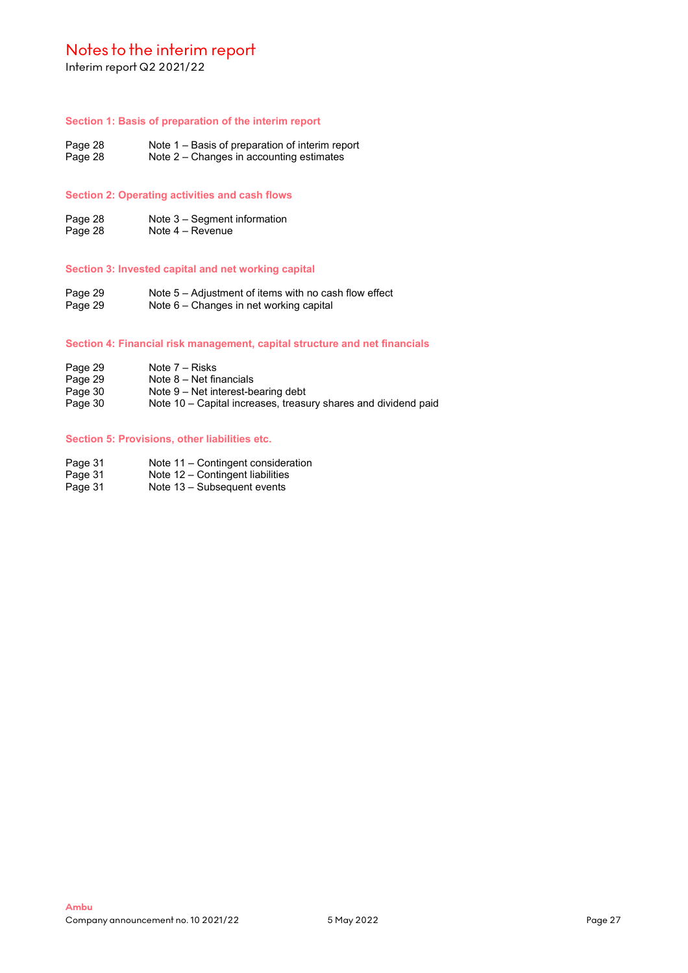Interim report Q2 2021/22

### **Section 1: Basis of preparation of the interim report**

Page 28 Note 1 – Basis of preparation of interim report<br>Page 28 Note 2 – Changes in accounting estimates Note  $2$  – Changes in accounting estimates

# **Section 2: Operating activities and cash flows**

Page 28 **Note 3** – Segment information<br>Page 28 **Note 4** – Revenue Note  $4 -$  Revenue

# **Section 3: Invested capital and net working capital**

Page 29 Note 5 – Adjustment of items with no cash flow effect<br>Page 29 Note 6 – Changes in net working capital Note 6 – Changes in net working capital

#### **Section 4: Financial risk management, capital structure and net financials**

- 
- Page 29 Note 7 Risks<br>Page 29 Note 8 Net fir
- Page 29 Mote 8 Net financials<br>Page 30 Mote 9 Net interest-be
- Page 30 **Note 9 Net interest-bearing debt**<br>Page 30 **Note 10 Capital increases**, treas Note 10 – Capital increases, treasury shares and dividend paid

### **Section 5: Provisions, other liabilities etc.**

- Page 31 Note 11 Contingent consideration<br>Page 31 Note 12 Contingent liabilities
- Page 31 Note 12 Contingent liabilities<br>Page 31 Note 13 Subsequent events
- Note  $13 -$  Subsequent events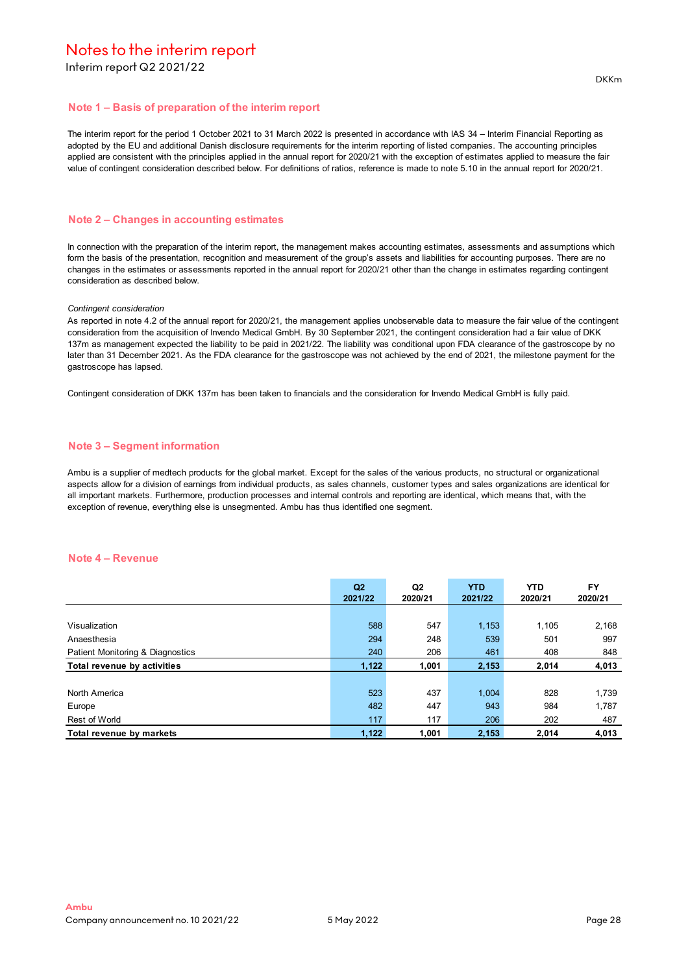Interim report Q2 2021/22

# **Note 1 – Basis of preparation of the interim report**

The interim report for the period 1 October 2021 to 31 March 2022 is presented in accordance with IAS 34 – Interim Financial Reporting as adopted by the EU and additional Danish disclosure requirements for the interim reporting of listed companies. The accounting principles applied are consistent with the principles applied in the annual report for 2020/21 with the exception of estimates applied to measure the fair value of contingent consideration described below. For definitions of ratios, reference is made to note 5.10 in the annual report for 2020/21.

#### **Note 2 – Changes in accounting estimates**

In connection with the preparation of the interim report, the management makes accounting estimates, assessments and assumptions which form the basis of the presentation, recognition and measurement of the group's assets and liabilities for accounting purposes. There are no changes in the estimates or assessments reported in the annual report for 2020/21 other than the change in estimates regarding contingent consideration as described below.

#### *Contingent consideration*

As reported in note 4.2 of the annual report for 2020/21, the management applies unobservable data to measure the fair value of the contingent consideration from the acquisition of Invendo Medical GmbH. By 30 September 2021, the contingent consideration had a fair value of DKK 137m as management expected the liability to be paid in 2021/22. The liability was conditional upon FDA clearance of the gastroscope by no later than 31 December 2021. As the FDA clearance for the gastroscope was not achieved by the end of 2021, the milestone payment for the gastroscope has lapsed.

Contingent consideration of DKK 137m has been taken to financials and the consideration for Invendo Medical GmbH is fully paid.

#### **Note 3 – Segment information**

Ambu is a supplier of medtech products for the global market. Except for the sales of the various products, no structural or organizational aspects allow for a division of earnings from individual products, as sales channels, customer types and sales organizations are identical for all important markets. Furthermore, production processes and internal controls and reporting are identical, which means that, with the exception of revenue, everything else is unsegmented. Ambu has thus identified one segment.

#### **Note 4 – Revenue**

|                                  | Q <sub>2</sub><br>2021/22 | Q <sub>2</sub><br>2020/21 | <b>YTD</b><br>2021/22 | <b>YTD</b><br>2020/21 | <b>FY</b><br>2020/21 |
|----------------------------------|---------------------------|---------------------------|-----------------------|-----------------------|----------------------|
|                                  |                           |                           |                       |                       |                      |
| Visualization                    | 588                       | 547                       | 1,153                 | 1.105                 | 2,168                |
| Anaesthesia                      | 294                       | 248                       | 539                   | 501                   | 997                  |
| Patient Monitoring & Diagnostics | 240                       | 206                       | 461                   | 408                   | 848                  |
| Total revenue by activities      | 1,122                     | 1,001                     | 2,153                 | 2,014                 | 4,013                |
|                                  |                           |                           |                       |                       |                      |
| North America                    | 523                       | 437                       | 1.004                 | 828                   | 1,739                |
| Europe                           | 482                       | 447                       | 943                   | 984                   | 1,787                |
| Rest of World                    | 117                       | 117                       | 206                   | 202                   | 487                  |
| Total revenue by markets         | 1,122                     | 1,001                     | 2,153                 | 2,014                 | 4,013                |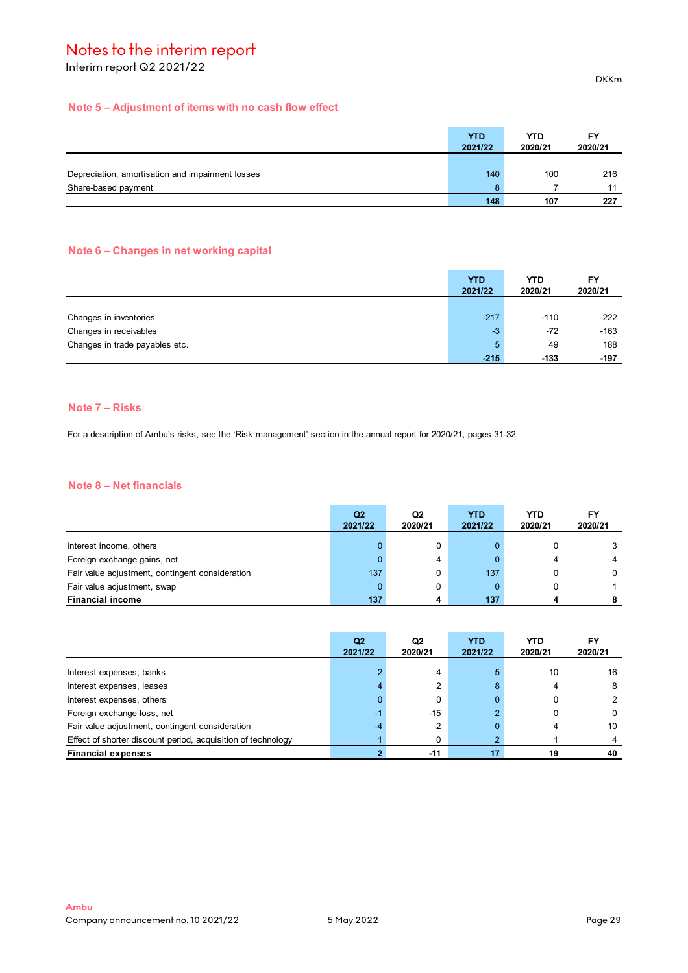Interim report Q2 2021/22

# **Note 5 – Adjustment of items with no cash flow effect**

|                                                  | <b>YTD</b> | <b>YTD</b> | FY      |
|--------------------------------------------------|------------|------------|---------|
|                                                  | 2021/22    | 2020/21    | 2020/21 |
|                                                  |            |            |         |
| Depreciation, amortisation and impairment losses | 140        | 100        | 216     |
| Share-based payment                              |            |            |         |
|                                                  | 148        | 107        | 227     |

# **Note 6 – Changes in net working capital**

|                                | <b>YTD</b><br>2021/22 | <b>YTD</b><br>2020/21 | FY<br>2020/21 |
|--------------------------------|-----------------------|-----------------------|---------------|
|                                |                       |                       |               |
| Changes in inventories         | $-217$                | $-110$                | $-222$        |
| Changes in receivables         | $-3$                  | $-72$                 | $-163$        |
| Changes in trade payables etc. |                       | 49                    | 188           |
|                                | $-215$                | $-133$                | -197          |

# **Note 7 – Risks**

For a description of Ambu's risks, see the 'Risk management' section in the annual report for 2020/21, pages 31-32.

## **Note 8 – Net financials**

|                                                 | Q2<br>2021/22 | Q2<br>2020/21 | YTD<br>2021/22 | <b>YTD</b><br>2020/21 | FΥ<br>2020/21 |
|-------------------------------------------------|---------------|---------------|----------------|-----------------------|---------------|
| Interest income, others                         |               | 0             |                |                       |               |
| Foreign exchange gains, net                     |               | 4             |                |                       |               |
| Fair value adjustment, contingent consideration | 137           | 0             | 137            |                       |               |
| Fair value adjustment, swap                     |               |               |                |                       |               |
| <b>Financial income</b>                         | 137           |               | 137            |                       |               |

|                                                              | Q <sub>2</sub><br>2021/22 | Q2<br>2020/21 | <b>YTD</b><br>2021/22 | YTD.<br>2020/21 | FY<br>2020/21 |
|--------------------------------------------------------------|---------------------------|---------------|-----------------------|-----------------|---------------|
| Interest expenses, banks                                     |                           |               |                       | 10              | 16            |
|                                                              |                           | ◠             | 8                     |                 | 8             |
| Interest expenses, leases                                    |                           |               |                       |                 |               |
| Interest expenses, others                                    |                           | 0             | o                     |                 |               |
| Foreign exchange loss, net                                   | -1                        | $-15$         |                       |                 | 0             |
| Fair value adjustment, contingent consideration              |                           | $-2$          | 0                     |                 | 10            |
| Effect of shorter discount period, acquisition of technology |                           |               |                       |                 |               |
| <b>Financial expenses</b>                                    |                           | $-11$         |                       | 19              | 40            |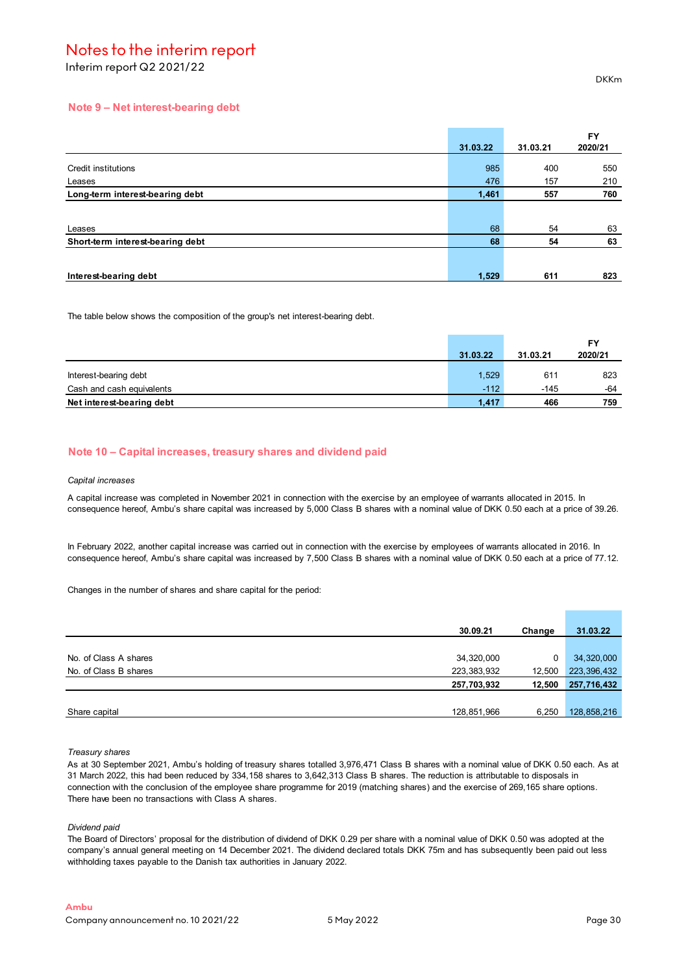Interim report Q2 2021/22

### **Note 9 – Net interest-bearing debt**

|                                  |          |          | <b>FY</b> |
|----------------------------------|----------|----------|-----------|
|                                  | 31.03.22 | 31.03.21 | 2020/21   |
| Credit institutions              | 985      | 400      | 550       |
| Leases                           | 476      | 157      | 210       |
| Long-term interest-bearing debt  | 1,461    | 557      | 760       |
|                                  |          |          |           |
| Leases                           | 68       | 54       | 63        |
| Short-term interest-bearing debt | 68       | 54       | 63        |
|                                  |          |          |           |
| Interest-bearing debt            | 1,529    | 611      | 823       |

The table below shows the composition of the group's net interest-bearing debt.

|                           | 31.03.22 | 31.03.21 | 2020/21 |
|---------------------------|----------|----------|---------|
|                           |          |          |         |
| Interest-bearing debt     | 1,529    | 611      | 823     |
| Cash and cash equivalents | $-112$   | $-145$   | -64     |
| Net interest-bearing debt | 1.417    | 466      | 759     |

### **Note 10 – Capital increases, treasury shares and dividend paid**

#### *Capital increases*

A capital increase was completed in November 2021 in connection with the exercise by an employee of warrants allocated in 2015. In consequence hereof, Ambu's share capital was increased by 5,000 Class B shares with a nominal value of DKK 0.50 each at a price of 39.26.

In February 2022, another capital increase was carried out in connection with the exercise by employees of warrants allocated in 2016. In consequence hereof, Ambu's share capital was increased by 7,500 Class B shares with a nominal value of DKK 0.50 each at a price of 77.12.

Changes in the number of shares and share capital for the period:

|                       | 30.09.21    | Change | 31.03.22    |
|-----------------------|-------------|--------|-------------|
|                       |             |        |             |
| No. of Class A shares | 34,320,000  | 0      | 34,320,000  |
| No. of Class B shares | 223,383,932 | 12,500 | 223,396,432 |
|                       | 257,703,932 | 12,500 | 257,716,432 |
|                       |             |        |             |
| Share capital         | 128,851,966 | 6,250  | 128,858,216 |

#### *Treasury shares*

As at 30 September 2021, Ambu's holding of treasury shares totalled 3,976,471 Class B shares with a nominal value of DKK 0.50 each. As at 31 March 2022, this had been reduced by 334,158 shares to 3,642,313 Class B shares. The reduction is attributable to disposals in connection with the conclusion of the employee share programme for 2019 (matching shares) and the exercise of 269,165 share options. There have been no transactions with Class A shares.

*Dividend paid*

The Board of Directors' proposal for the distribution of dividend of DKK 0.29 per share with a nominal value of DKK 0.50 was adopted at the company's annual general meeting on 14 December 2021. The dividend declared totals DKK 75m and has subsequently been paid out less withholding taxes payable to the Danish tax authorities in January 2022.